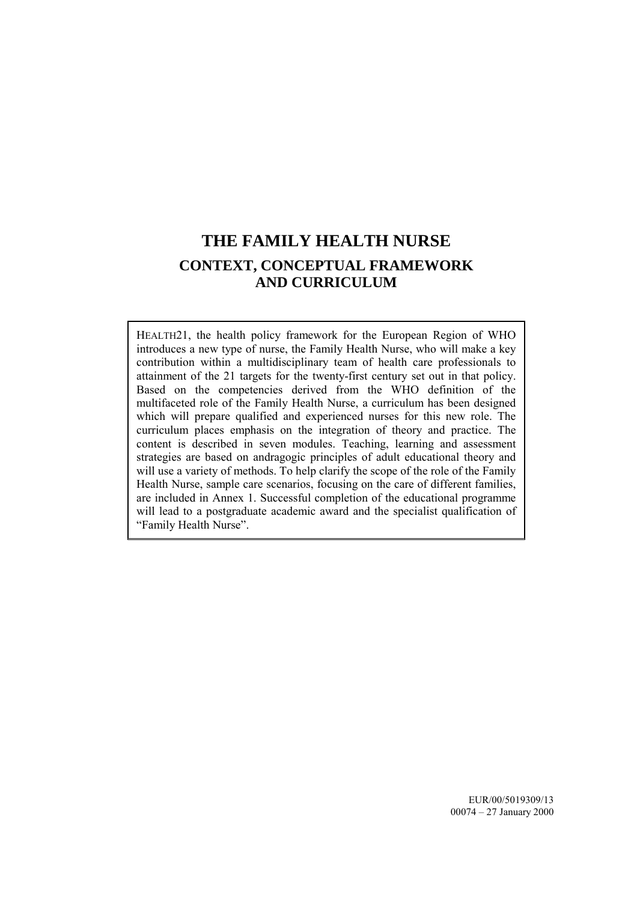# **THE FAMILY HEALTH NURSE CONTEXT, CONCEPTUAL FRAMEWORK AND CURRICULUM**

HEALTH21, the health policy framework for the European Region of WHO introduces a new type of nurse, the Family Health Nurse, who will make a key contribution within a multidisciplinary team of health care professionals to attainment of the 21 targets for the twenty-first century set out in that policy. Based on the competencies derived from the WHO definition of the multifaceted role of the Family Health Nurse, a curriculum has been designed which will prepare qualified and experienced nurses for this new role. The curriculum places emphasis on the integration of theory and practice. The content is described in seven modules. Teaching, learning and assessment strategies are based on andragogic principles of adult educational theory and will use a variety of methods. To help clarify the scope of the role of the Family Health Nurse, sample care scenarios, focusing on the care of different families, are included in Annex 1. Successful completion of the educational programme will lead to a postgraduate academic award and the specialist qualification of "Family Health Nurse".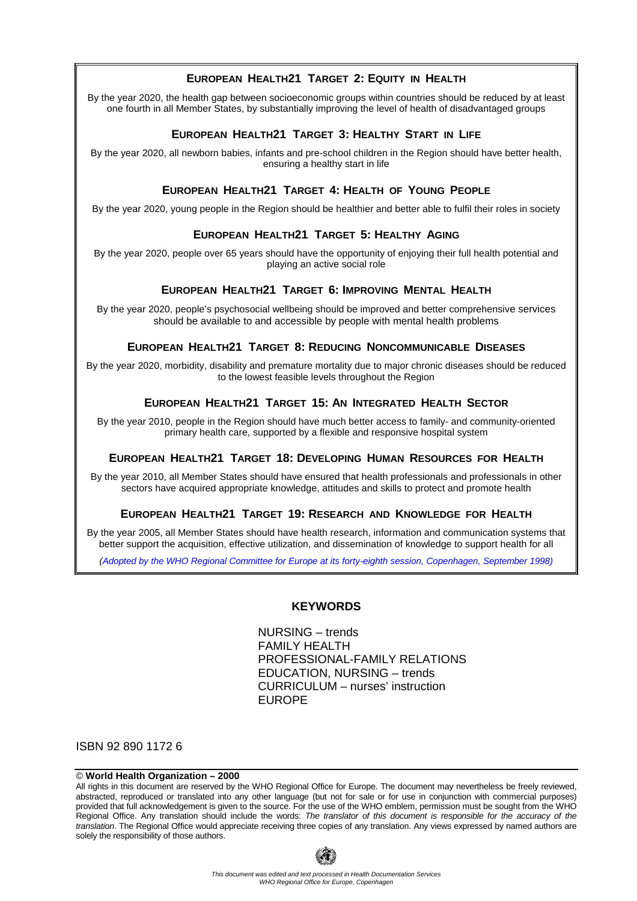### **EUROPEAN HEALTH21 TARGET 2: EQUITY IN HEALTH**

By the year 2020, the health gap between socioeconomic groups within countries should be reduced by at least one fourth in all Member States, by substantially improving the level of health of disadvantaged groups

#### **EUROPEAN HEALTH21 TARGET 3: HEALTHY START IN LIFE**

By the year 2020, all newborn babies, infants and pre-school children in the Region should have better health, ensuring a healthy start in life

### **EUROPEAN HEALTH21 TARGET 4: HEALTH OF YOUNG PEOPLE**

By the year 2020, young people in the Region should be healthier and better able to fulfil their roles in society

### **EUROPEAN HEALTH21 TARGET 5: HEALTHY AGING**

By the year 2020, people over 65 years should have the opportunity of enjoying their full health potential and playing an active social role

### **EUROPEAN HEALTH21 TARGET 6: IMPROVING MENTAL HEALTH**

By the year 2020, people's psychosocial wellbeing should be improved and better comprehensive services should be available to and accessible by people with mental health problems

### **EUROPEAN HEALTH21 TARGET 8: REDUCING NONCOMMUNICABLE DISEASES**

By the year 2020, morbidity, disability and premature mortality due to major chronic diseases should be reduced to the lowest feasible levels throughout the Region

### **EUROPEAN HEALTH21 TARGET 15: AN INTEGRATED HEALTH SECTOR**

By the year 2010, people in the Region should have much better access to family- and community-oriented primary health care, supported by a flexible and responsive hospital system

### **EUROPEAN HEALTH21 TARGET 18: DEVELOPING HUMAN RESOURCES FOR HEALTH**

By the year 2010, all Member States should have ensured that health professionals and professionals in other sectors have acquired appropriate knowledge, attitudes and skills to protect and promote health

#### **EUROPEAN HEALTH21 TARGET 19: RESEARCH AND KNOWLEDGE FOR HEALTH**

By the year 2005, all Member States should have health research, information and communication systems that better support the acquisition, effective utilization, and dissemination of knowledge to support health for all

*(Adopted by the WHO Regional Committee for Europe at its forty-eighth session, Copenhagen, September 1998)*

#### **KEYWORDS**

NURSING – trends FAMILY HEALTH PROFESSIONAL-FAMILY RELATIONS EDUCATION, NURSING – trends CURRICULUM – nurses' instruction EUROPE

ISBN 92 890 1172 6

#### © **World Health Organization – 2000**

All rights in this document are reserved by the WHO Regional Office for Europe. The document may nevertheless be freely reviewed, abstracted, reproduced or translated into any other language (but not for sale or for use in conjunction with commercial purposes) provided that full acknowledgement is given to the source. For the use of the WHO emblem, permission must be sought from the WHO Regional Office. Any translation should include the words: *The translator of this document is responsible for the accuracy of the translation*. The Regional Office would appreciate receiving three copies of any translation. Any views expressed by named authors are solely the responsibility of those authors.

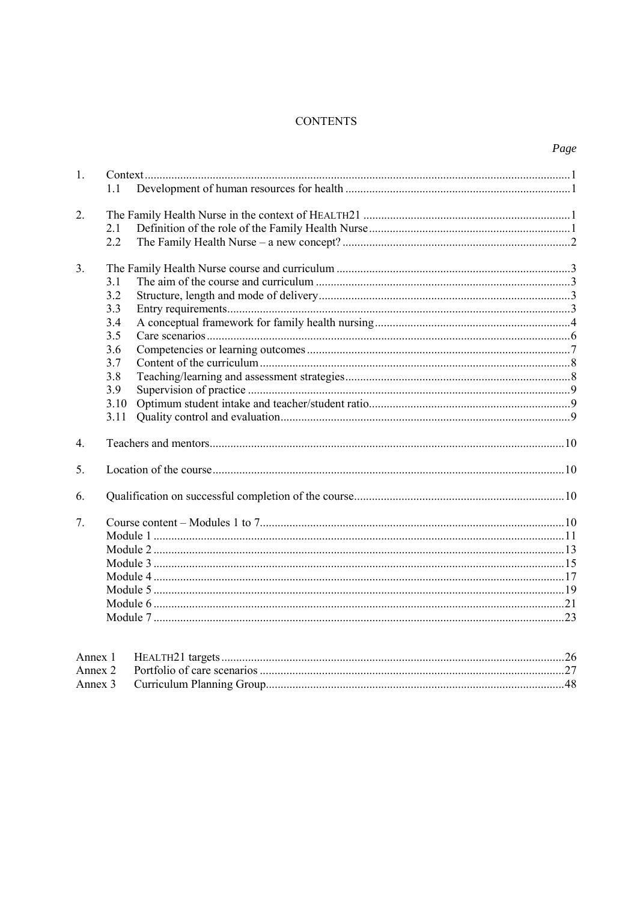### **CONTENTS**

| 1.               |      |  |  |
|------------------|------|--|--|
|                  | 11   |  |  |
|                  |      |  |  |
| $\overline{2}$ . |      |  |  |
|                  | 2.1  |  |  |
|                  | 2.2  |  |  |
| $\mathcal{E}$    |      |  |  |
|                  | 3.1  |  |  |
|                  | 3.2  |  |  |
|                  | 3.3  |  |  |
|                  | 3.4  |  |  |
|                  | 3.5  |  |  |
|                  | 3.6  |  |  |
|                  | 3.7  |  |  |
|                  | 3.8  |  |  |
|                  | 3.9  |  |  |
|                  | 3.10 |  |  |
|                  | 3.11 |  |  |
|                  |      |  |  |
| $\overline{4}$ . |      |  |  |
|                  |      |  |  |
| 5.               |      |  |  |
| 6.               |      |  |  |
| 7.               |      |  |  |
|                  |      |  |  |
|                  |      |  |  |
|                  |      |  |  |
|                  |      |  |  |
|                  |      |  |  |
|                  |      |  |  |
|                  |      |  |  |
|                  |      |  |  |
|                  |      |  |  |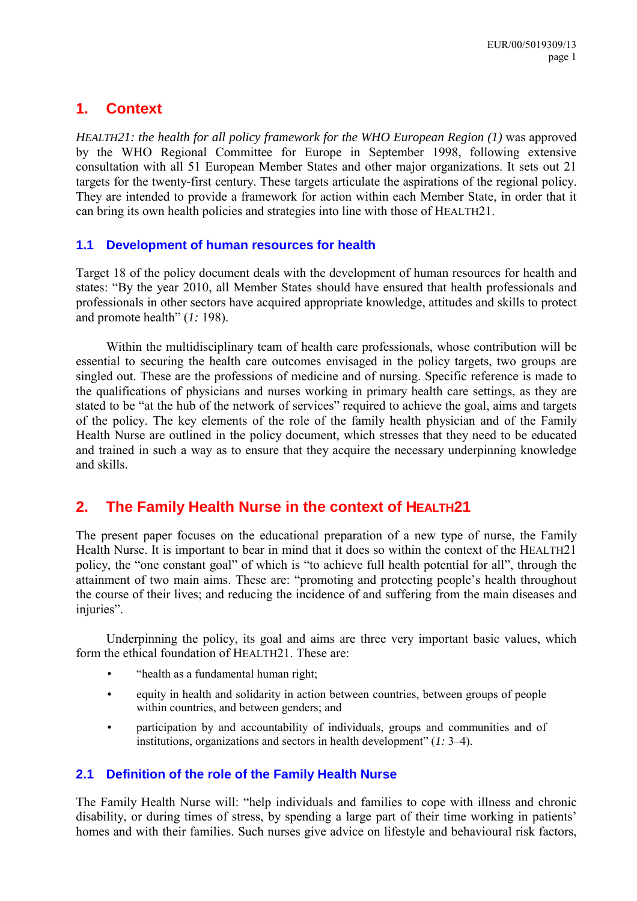# <span id="page-6-0"></span>**1. Context**

*HEALTH21: the health for all policy framework for the WHO European Region (1)* was approved by the WHO Regional Committee for Europe in September 1998, following extensive consultation with all 51 European Member States and other major organizations. It sets out 21 targets for the twenty-first century. These targets articulate the aspirations of the regional policy. They are intended to provide a framework for action within each Member State, in order that it can bring its own health policies and strategies into line with those of HEALTH21.

# **1.1 Development of human resources for health**

Target 18 of the policy document deals with the development of human resources for health and states: "By the year 2010, all Member States should have ensured that health professionals and professionals in other sectors have acquired appropriate knowledge, attitudes and skills to protect and promote health"  $(1: 198)$ .

Within the multidisciplinary team of health care professionals, whose contribution will be essential to securing the health care outcomes envisaged in the policy targets, two groups are singled out. These are the professions of medicine and of nursing. Specific reference is made to the qualifications of physicians and nurses working in primary health care settings, as they are stated to be "at the hub of the network of services" required to achieve the goal, aims and targets of the policy. The key elements of the role of the family health physician and of the Family Health Nurse are outlined in the policy document, which stresses that they need to be educated and trained in such a way as to ensure that they acquire the necessary underpinning knowledge and skills.

# **2. The Family Health Nurse in the context of HEALTH21**

The present paper focuses on the educational preparation of a new type of nurse, the Family Health Nurse. It is important to bear in mind that it does so within the context of the HEALTH21 policy, the "one constant goal" of which is "to achieve full health potential for all", through the attainment of two main aims. These are: "promoting and protecting people's health throughout the course of their lives; and reducing the incidence of and suffering from the main diseases and injuries".

Underpinning the policy, its goal and aims are three very important basic values, which form the ethical foundation of HEALTH21. These are:

- "health as a fundamental human right;
- equity in health and solidarity in action between countries, between groups of people within countries, and between genders; and
- participation by and accountability of individuals, groups and communities and of institutions, organizations and sectors in health development" (1: 3–4).

# **2.1 Definition of the role of the Family Health Nurse**

The Family Health Nurse will: "help individuals and families to cope with illness and chronic disability, or during times of stress, by spending a large part of their time working in patients' homes and with their families. Such nurses give advice on lifestyle and behavioural risk factors,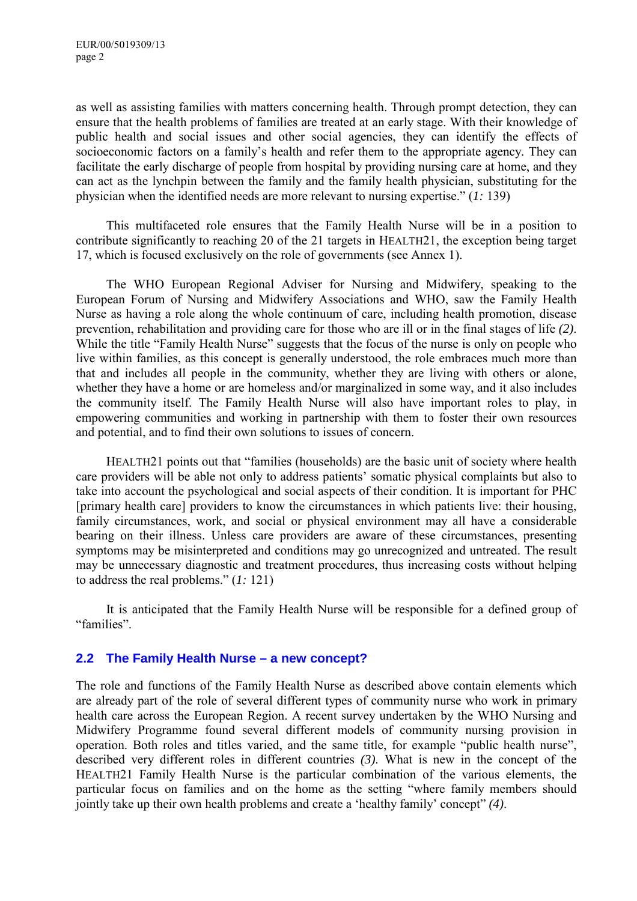<span id="page-7-0"></span>as well as assisting families with matters concerning health. Through prompt detection, they can ensure that the health problems of families are treated at an early stage. With their knowledge of public health and social issues and other social agencies, they can identify the effects of socioeconomic factors on a family's health and refer them to the appropriate agency. They can facilitate the early discharge of people from hospital by providing nursing care at home, and they can act as the lynchpin between the family and the family health physician, substituting for the physician when the identified needs are more relevant to nursing expertise."  $(1: 139)$ 

This multifaceted role ensures that the Family Health Nurse will be in a position to contribute significantly to reaching 20 of the 21 targets in HEALTH21, the exception being target 17, which is focused exclusively on the role of governments (see Annex 1).

The WHO European Regional Adviser for Nursing and Midwifery, speaking to the European Forum of Nursing and Midwifery Associations and WHO, saw the Family Health Nurse as having a role along the whole continuum of care, including health promotion, disease prevention, rehabilitation and providing care for those who are ill or in the final stages of life *(2)*. While the title "Family Health Nurse" suggests that the focus of the nurse is only on people who live within families, as this concept is generally understood, the role embraces much more than that and includes all people in the community, whether they are living with others or alone, whether they have a home or are homeless and/or marginalized in some way, and it also includes the community itself. The Family Health Nurse will also have important roles to play, in empowering communities and working in partnership with them to foster their own resources and potential, and to find their own solutions to issues of concern.

HEALTH21 points out that "families (households) are the basic unit of society where health care providers will be able not only to address patients' somatic physical complaints but also to take into account the psychological and social aspects of their condition. It is important for PHC [primary health care] providers to know the circumstances in which patients live: their housing, family circumstances, work, and social or physical environment may all have a considerable bearing on their illness. Unless care providers are aware of these circumstances, presenting symptoms may be misinterpreted and conditions may go unrecognized and untreated. The result may be unnecessary diagnostic and treatment procedures, thus increasing costs without helping to address the real problems."  $(1: 121)$ 

It is anticipated that the Family Health Nurse will be responsible for a defined group of "families".

# **2.2 The Family Health Nurse – a new concept?**

The role and functions of the Family Health Nurse as described above contain elements which are already part of the role of several different types of community nurse who work in primary health care across the European Region. A recent survey undertaken by the WHO Nursing and Midwifery Programme found several different models of community nursing provision in operation. Both roles and titles varied, and the same title, for example "public health nurse", described very different roles in different countries *(3)*. What is new in the concept of the HEALTH21 Family Health Nurse is the particular combination of the various elements, the particular focus on families and on the home as the setting "where family members should jointly take up their own health problems and create a 'healthy family' concept'' (4).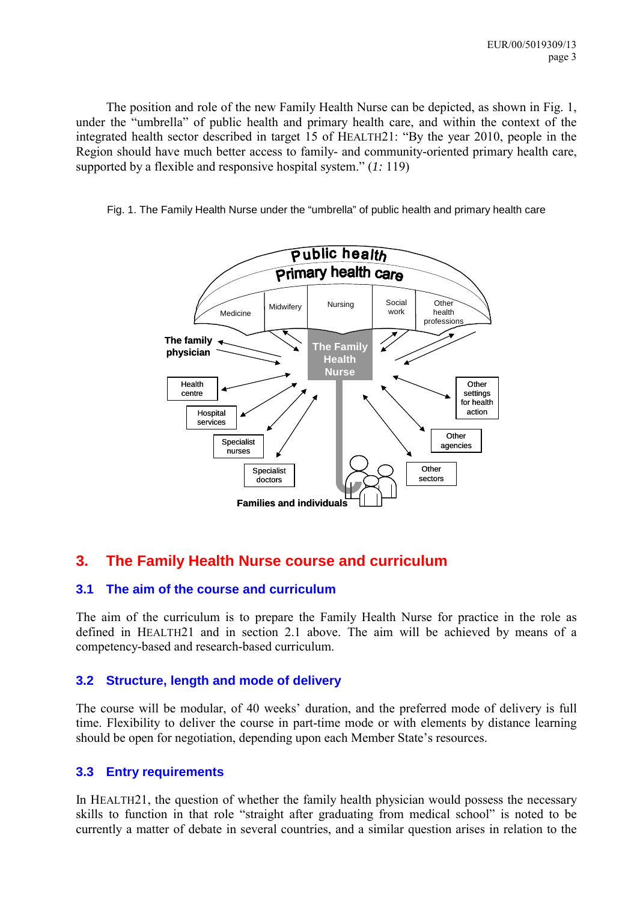<span id="page-8-0"></span>The position and role of the new Family Health Nurse can be depicted, as shown in Fig. 1, under the "umbrella" of public health and primary health care, and within the context of the integrated health sector described in target 15 of HEALTH21: "By the year 2010, people in the Region should have much better access to family- and community-oriented primary health care, supported by a flexible and responsive hospital system." (1: 119)

Fig. 1. The Family Health Nurse under the "umbrella" of public health and primary health care



# **3. The Family Health Nurse course and curriculum**

# **3.1 The aim of the course and curriculum**

The aim of the curriculum is to prepare the Family Health Nurse for practice in the role as defined in HEALTH21 and in section 2.1 above. The aim will be achieved by means of a competency-based and research-based curriculum.

# **3.2 Structure, length and mode of delivery**

The course will be modular, of 40 weeks' duration, and the preferred mode of delivery is full time. Flexibility to deliver the course in part-time mode or with elements by distance learning should be open for negotiation, depending upon each Member State's resources.

# **3.3 Entry requirements**

In HEALTH21, the question of whether the family health physician would possess the necessary skills to function in that role "straight after graduating from medical school" is noted to be currently a matter of debate in several countries, and a similar question arises in relation to the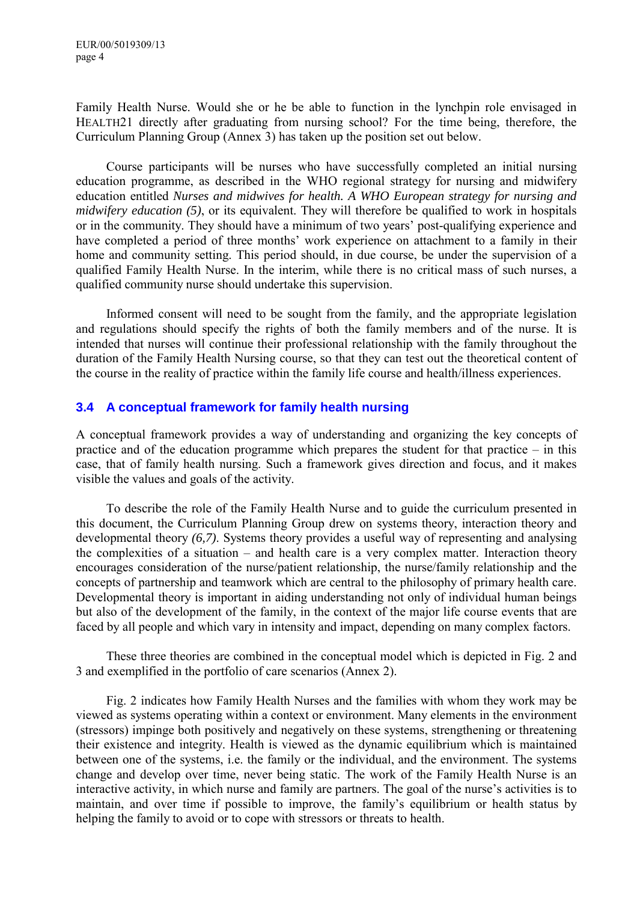<span id="page-9-0"></span>Family Health Nurse. Would she or he be able to function in the lynchpin role envisaged in HEALTH21 directly after graduating from nursing school? For the time being, therefore, the Curriculum Planning Group (Annex 3) has taken up the position set out below.

Course participants will be nurses who have successfully completed an initial nursing education programme, as described in the WHO regional strategy for nursing and midwifery education entitled *Nurses and midwives for health. A WHO European strategy for nursing and midwifery education (5)*, or its equivalent. They will therefore be qualified to work in hospitals or in the community. They should have a minimum of two years' post-qualifying experience and have completed a period of three months' work experience on attachment to a family in their home and community setting. This period should, in due course, be under the supervision of a qualified Family Health Nurse. In the interim, while there is no critical mass of such nurses, a qualified community nurse should undertake this supervision.

Informed consent will need to be sought from the family, and the appropriate legislation and regulations should specify the rights of both the family members and of the nurse. It is intended that nurses will continue their professional relationship with the family throughout the duration of the Family Health Nursing course, so that they can test out the theoretical content of the course in the reality of practice within the family life course and health/illness experiences.

# **3.4 A conceptual framework for family health nursing**

A conceptual framework provides a way of understanding and organizing the key concepts of practice and of the education programme which prepares the student for that practice  $-\text{ in this}$ case, that of family health nursing. Such a framework gives direction and focus, and it makes visible the values and goals of the activity.

To describe the role of the Family Health Nurse and to guide the curriculum presented in this document, the Curriculum Planning Group drew on systems theory, interaction theory and developmental theory *(6,7)*. Systems theory provides a useful way of representing and analysing the complexities of a situation  $-$  and health care is a very complex matter. Interaction theory encourages consideration of the nurse/patient relationship, the nurse/family relationship and the concepts of partnership and teamwork which are central to the philosophy of primary health care. Developmental theory is important in aiding understanding not only of individual human beings but also of the development of the family, in the context of the major life course events that are faced by all people and which vary in intensity and impact, depending on many complex factors.

These three theories are combined in the conceptual model which is depicted in Fig. 2 and 3 and exemplified in the portfolio of care scenarios (Annex 2).

Fig. 2 indicates how Family Health Nurses and the families with whom they work may be viewed as systems operating within a context or environment. Many elements in the environment (stressors) impinge both positively and negatively on these systems, strengthening or threatening their existence and integrity. Health is viewed as the dynamic equilibrium which is maintained between one of the systems, i.e. the family or the individual, and the environment. The systems change and develop over time, never being static. The work of the Family Health Nurse is an interactive activity, in which nurse and family are partners. The goal of the nurse's activities is to maintain, and over time if possible to improve, the family's equilibrium or health status by helping the family to avoid or to cope with stressors or threats to health.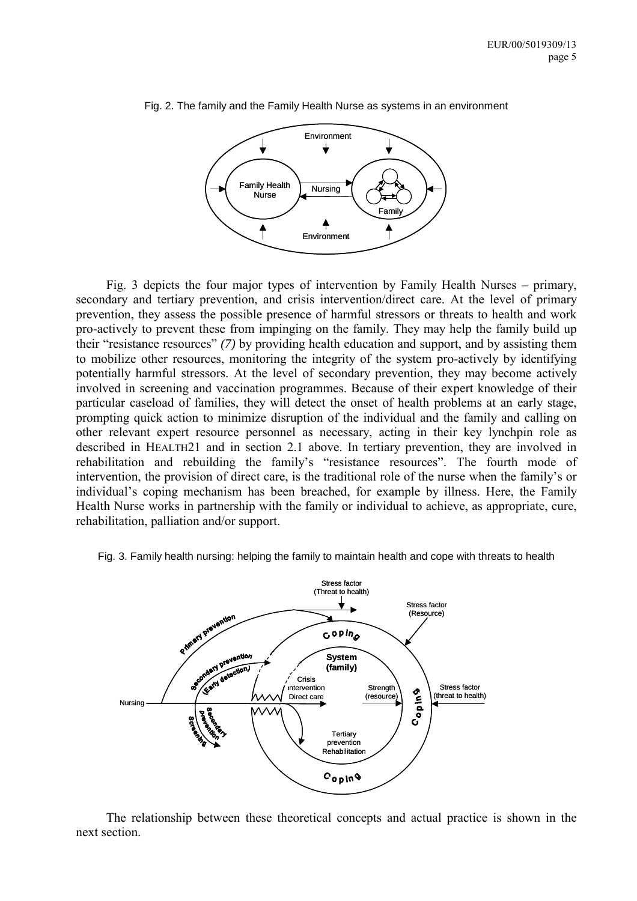

Fig. 2. The family and the Family Health Nurse as systems in an environment

Fig. 3 depicts the four major types of intervention by Family Health Nurses  $-$  primary, secondary and tertiary prevention, and crisis intervention/direct care. At the level of primary prevention, they assess the possible presence of harmful stressors or threats to health and work pro-actively to prevent these from impinging on the family. They may help the family build up their "resistance resources" (7) by providing health education and support, and by assisting them to mobilize other resources, monitoring the integrity of the system pro-actively by identifying potentially harmful stressors. At the level of secondary prevention, they may become actively involved in screening and vaccination programmes. Because of their expert knowledge of their particular caseload of families, they will detect the onset of health problems at an early stage, prompting quick action to minimize disruption of the individual and the family and calling on other relevant expert resource personnel as necessary, acting in their key lynchpin role as described in HEALTH21 and in section 2.1 above. In tertiary prevention, they are involved in rehabilitation and rebuilding the family's "resistance resources". The fourth mode of intervention, the provision of direct care, is the traditional role of the nurse when the family's or individual's coping mechanism has been breached, for example by illness. Here, the Family Health Nurse works in partnership with the family or individual to achieve, as appropriate, cure, rehabilitation, palliation and/or support.



Fig. 3. Family health nursing: helping the family to maintain health and cope with threats to health

The relationship between these theoretical concepts and actual practice is shown in the next section.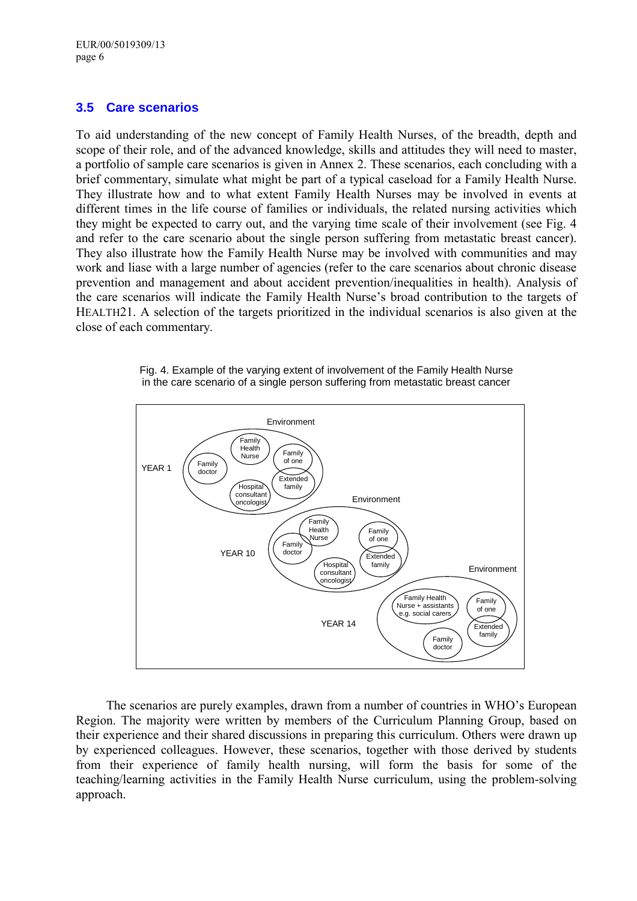# <span id="page-11-0"></span>**3.5 Care scenarios**

To aid understanding of the new concept of Family Health Nurses, of the breadth, depth and scope of their role, and of the advanced knowledge, skills and attitudes they will need to master, a portfolio of sample care scenarios is given in Annex 2. These scenarios, each concluding with a brief commentary, simulate what might be part of a typical caseload for a Family Health Nurse. They illustrate how and to what extent Family Health Nurses may be involved in events at different times in the life course of families or individuals, the related nursing activities which they might be expected to carry out, and the varying time scale of their involvement (see Fig. 4 and refer to the care scenario about the single person suffering from metastatic breast cancer). They also illustrate how the Family Health Nurse may be involved with communities and may work and liase with a large number of agencies (refer to the care scenarios about chronic disease prevention and management and about accident prevention/inequalities in health). Analysis of the care scenarios will indicate the Family Health Nurse's broad contribution to the targets of HEALTH21. A selection of the targets prioritized in the individual scenarios is also given at the close of each commentary.





The scenarios are purely examples, drawn from a number of countries in WHO's European Region. The majority were written by members of the Curriculum Planning Group, based on their experience and their shared discussions in preparing this curriculum. Others were drawn up by experienced colleagues. However, these scenarios, together with those derived by students from their experience of family health nursing, will form the basis for some of the teaching/learning activities in the Family Health Nurse curriculum, using the problem-solving approach.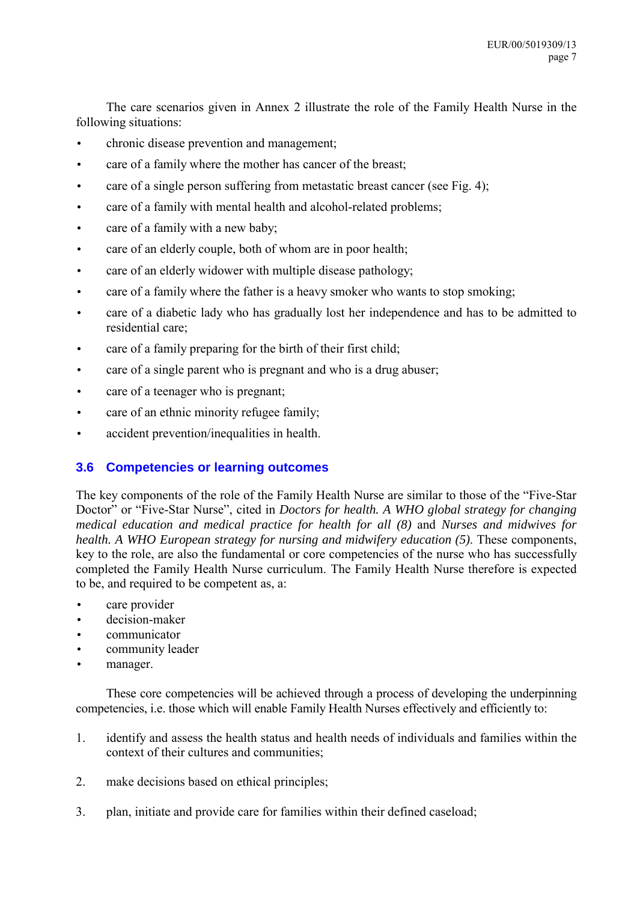<span id="page-12-0"></span>The care scenarios given in Annex 2 illustrate the role of the Family Health Nurse in the following situations:

- chronic disease prevention and management;
- care of a family where the mother has cancer of the breast:
- care of a single person suffering from metastatic breast cancer (see Fig. 4);
- care of a family with mental health and alcohol-related problems;
- care of a family with a new baby;
- care of an elderly couple, both of whom are in poor health;
- care of an elderly widower with multiple disease pathology;
- care of a family where the father is a heavy smoker who wants to stop smoking;
- care of a diabetic lady who has gradually lost her independence and has to be admitted to residential care;
- care of a family preparing for the birth of their first child;
- care of a single parent who is pregnant and who is a drug abuser;
- care of a teenager who is pregnant;
- care of an ethnic minority refugee family;
- accident prevention/inequalities in health.

# **3.6 Competencies or learning outcomes**

The key components of the role of the Family Health Nurse are similar to those of the "Five-Star" Doctor" or "Five-Star Nurse", cited in *Doctors for health. A WHO global strategy for changing medical education and medical practice for health for all (8)* and *Nurses and midwives for health. A WHO European strategy for nursing and midwifery education (5)*. These components, key to the role, are also the fundamental or core competencies of the nurse who has successfully completed the Family Health Nurse curriculum. The Family Health Nurse therefore is expected to be, and required to be competent as, a:

- care provider
- decision-maker
- communicator
- community leader
- manager.

These core competencies will be achieved through a process of developing the underpinning competencies, i.e. those which will enable Family Health Nurses effectively and efficiently to:

- 1. identify and assess the health status and health needs of individuals and families within the context of their cultures and communities;
- 2. make decisions based on ethical principles;
- 3. plan, initiate and provide care for families within their defined caseload;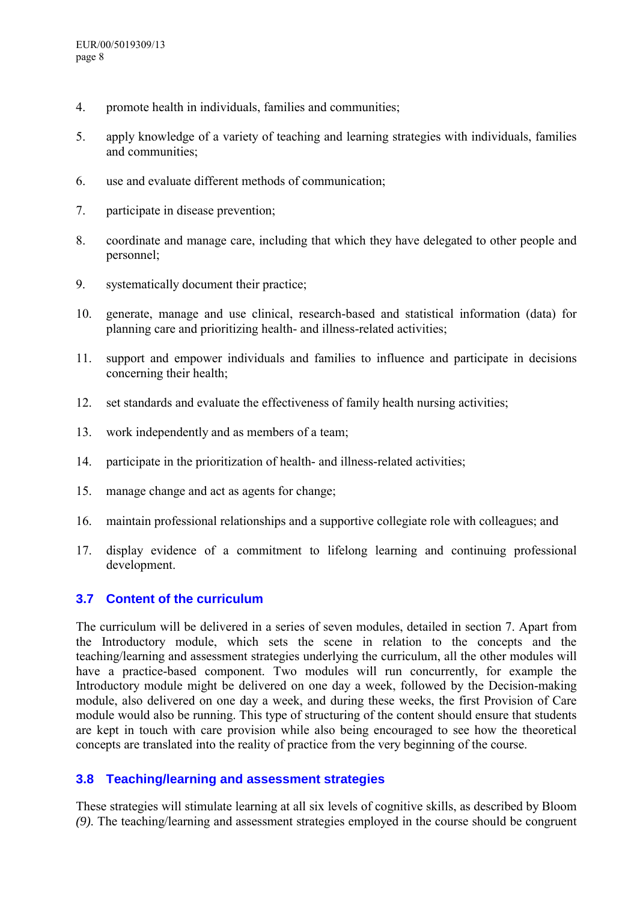- <span id="page-13-0"></span>4. promote health in individuals, families and communities;
- 5. apply knowledge of a variety of teaching and learning strategies with individuals, families and communities;
- 6. use and evaluate different methods of communication;
- 7. participate in disease prevention;
- 8. coordinate and manage care, including that which they have delegated to other people and personnel;
- 9. systematically document their practice;
- 10. generate, manage and use clinical, research-based and statistical information (data) for planning care and prioritizing health- and illness-related activities;
- 11. support and empower individuals and families to influence and participate in decisions concerning their health;
- 12. set standards and evaluate the effectiveness of family health nursing activities;
- 13. work independently and as members of a team;
- 14. participate in the prioritization of health- and illness-related activities;
- 15. manage change and act as agents for change;
- 16. maintain professional relationships and a supportive collegiate role with colleagues; and
- 17. display evidence of a commitment to lifelong learning and continuing professional development.

# **3.7 Content of the curriculum**

The curriculum will be delivered in a series of seven modules, detailed in section 7. Apart from the Introductory module, which sets the scene in relation to the concepts and the teaching/learning and assessment strategies underlying the curriculum, all the other modules will have a practice-based component. Two modules will run concurrently, for example the Introductory module might be delivered on one day a week, followed by the Decision-making module, also delivered on one day a week, and during these weeks, the first Provision of Care module would also be running. This type of structuring of the content should ensure that students are kept in touch with care provision while also being encouraged to see how the theoretical concepts are translated into the reality of practice from the very beginning of the course.

# **3.8 Teaching/learning and assessment strategies**

These strategies will stimulate learning at all six levels of cognitive skills, as described by Bloom *(9)*. The teaching/learning and assessment strategies employed in the course should be congruent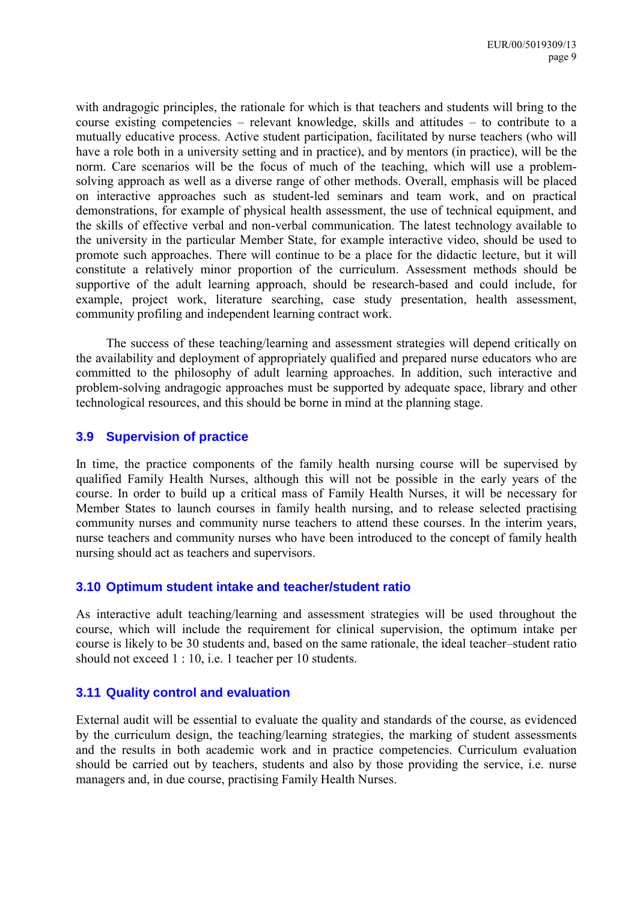<span id="page-14-0"></span>with andragogic principles, the rationale for which is that teachers and students will bring to the course existing competencies – relevant knowledge, skills and attitudes  $-$  to contribute to a mutually educative process. Active student participation, facilitated by nurse teachers (who will have a role both in a university setting and in practice), and by mentors (in practice), will be the norm. Care scenarios will be the focus of much of the teaching, which will use a problemsolving approach as well as a diverse range of other methods. Overall, emphasis will be placed on interactive approaches such as student-led seminars and team work, and on practical demonstrations, for example of physical health assessment, the use of technical equipment, and the skills of effective verbal and non-verbal communication. The latest technology available to the university in the particular Member State, for example interactive video, should be used to promote such approaches. There will continue to be a place for the didactic lecture, but it will constitute a relatively minor proportion of the curriculum. Assessment methods should be supportive of the adult learning approach, should be research-based and could include, for example, project work, literature searching, case study presentation, health assessment, community profiling and independent learning contract work.

The success of these teaching/learning and assessment strategies will depend critically on the availability and deployment of appropriately qualified and prepared nurse educators who are committed to the philosophy of adult learning approaches. In addition, such interactive and problem-solving andragogic approaches must be supported by adequate space, library and other technological resources, and this should be borne in mind at the planning stage.

### **3.9 Supervision of practice**

In time, the practice components of the family health nursing course will be supervised by qualified Family Health Nurses, although this will not be possible in the early years of the course. In order to build up a critical mass of Family Health Nurses, it will be necessary for Member States to launch courses in family health nursing, and to release selected practising community nurses and community nurse teachers to attend these courses. In the interim years, nurse teachers and community nurses who have been introduced to the concept of family health nursing should act as teachers and supervisors.

### **3.10 Optimum student intake and teacher/student ratio**

As interactive adult teaching/learning and assessment strategies will be used throughout the course, which will include the requirement for clinical supervision, the optimum intake per course is likely to be 30 students and, based on the same rationale, the ideal teacher–student ratio should not exceed 1 : 10, i.e. 1 teacher per 10 students.

# **3.11 Quality control and evaluation**

External audit will be essential to evaluate the quality and standards of the course, as evidenced by the curriculum design, the teaching/learning strategies, the marking of student assessments and the results in both academic work and in practice competencies. Curriculum evaluation should be carried out by teachers, students and also by those providing the service, i.e. nurse managers and, in due course, practising Family Health Nurses.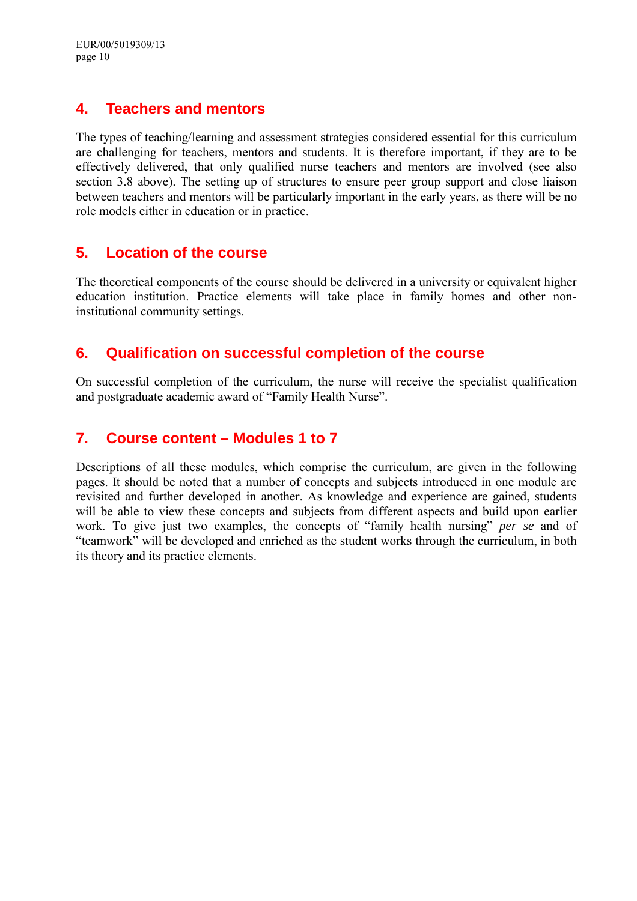# <span id="page-15-0"></span>**4. Teachers and mentors**

The types of teaching/learning and assessment strategies considered essential for this curriculum are challenging for teachers, mentors and students. It is therefore important, if they are to be effectively delivered, that only qualified nurse teachers and mentors are involved (see also section 3.8 above). The setting up of structures to ensure peer group support and close liaison between teachers and mentors will be particularly important in the early years, as there will be no role models either in education or in practice.

# **5. Location of the course**

The theoretical components of the course should be delivered in a university or equivalent higher education institution. Practice elements will take place in family homes and other noninstitutional community settings.

# **6. Qualification on successful completion of the course**

On successful completion of the curriculum, the nurse will receive the specialist qualification and postgraduate academic award of "Family Health Nurse".

# **7. Course content – Modules 1 to 7**

Descriptions of all these modules, which comprise the curriculum, are given in the following pages. It should be noted that a number of concepts and subjects introduced in one module are revisited and further developed in another. As knowledge and experience are gained, students will be able to view these concepts and subjects from different aspects and build upon earlier work. To give just two examples, the concepts of "family health nursing" *per se* and of ìteamworkî will be developed and enriched as the student works through the curriculum, in both its theory and its practice elements.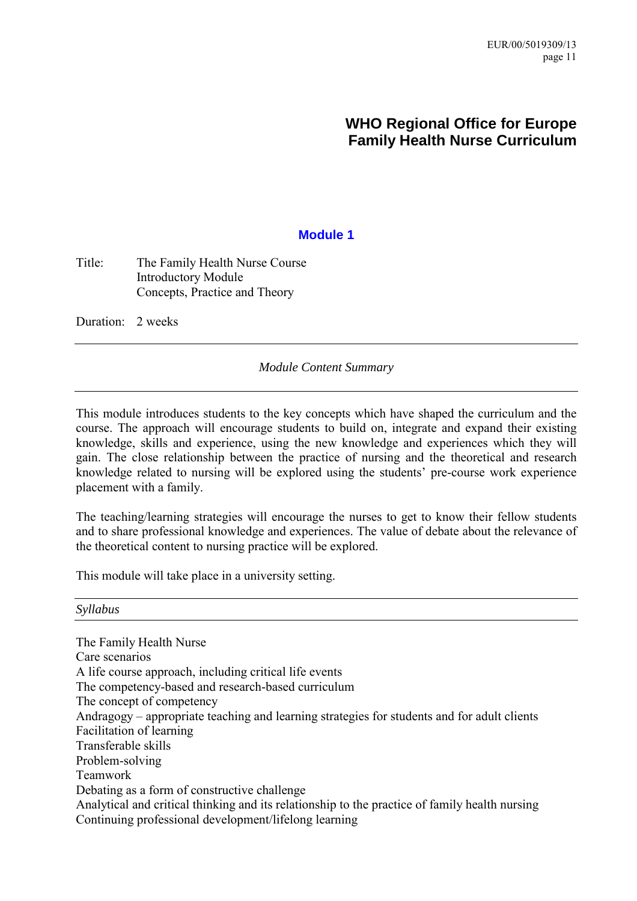# **WHO Regional Office for Europe Family Health Nurse Curriculum**

# **Module 1**

# <span id="page-16-0"></span>Title: The Family Health Nurse Course Introductory Module Concepts, Practice and Theory

Duration: 2 weeks

### *Module Content Summary*

This module introduces students to the key concepts which have shaped the curriculum and the course. The approach will encourage students to build on, integrate and expand their existing knowledge, skills and experience, using the new knowledge and experiences which they will gain. The close relationship between the practice of nursing and the theoretical and research knowledge related to nursing will be explored using the students' pre-course work experience placement with a family.

The teaching/learning strategies will encourage the nurses to get to know their fellow students and to share professional knowledge and experiences. The value of debate about the relevance of the theoretical content to nursing practice will be explored.

This module will take place in a university setting.

#### *Syllabus*

The Family Health Nurse Care scenarios A life course approach, including critical life events The competency-based and research-based curriculum The concept of competency Andragogy  $-$  appropriate teaching and learning strategies for students and for adult clients Facilitation of learning Transferable skills Problem-solving Teamwork Debating as a form of constructive challenge Analytical and critical thinking and its relationship to the practice of family health nursing Continuing professional development/lifelong learning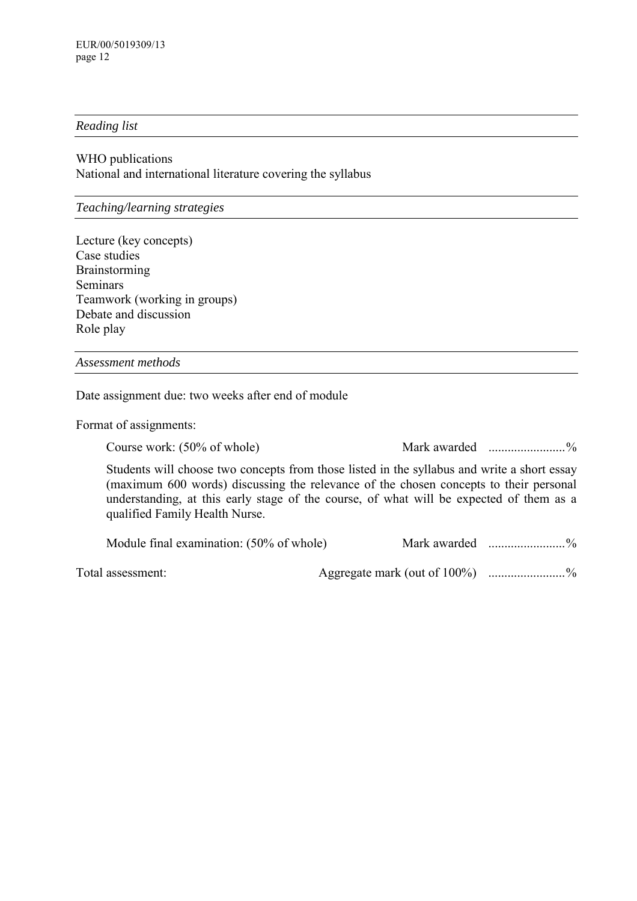### *Reading list*

WHO publications National and international literature covering the syllabus

*Teaching/learning strategies* 

Lecture (key concepts) Case studies Brainstorming Seminars Teamwork (working in groups) Debate and discussion Role play

*Assessment methods* 

Date assignment due: two weeks after end of module

Format of assignments:

Course work: (50% of whole) Mark awarded ........................%

Students will choose two concepts from those listed in the syllabus and write a short essay (maximum 600 words) discussing the relevance of the chosen concepts to their personal understanding, at this early stage of the course, of what will be expected of them as a qualified Family Health Nurse.

Module final examination: (50% of whole) Mark awarded ........................%

Total assessment: Aggregate mark (out of 100%) ......................%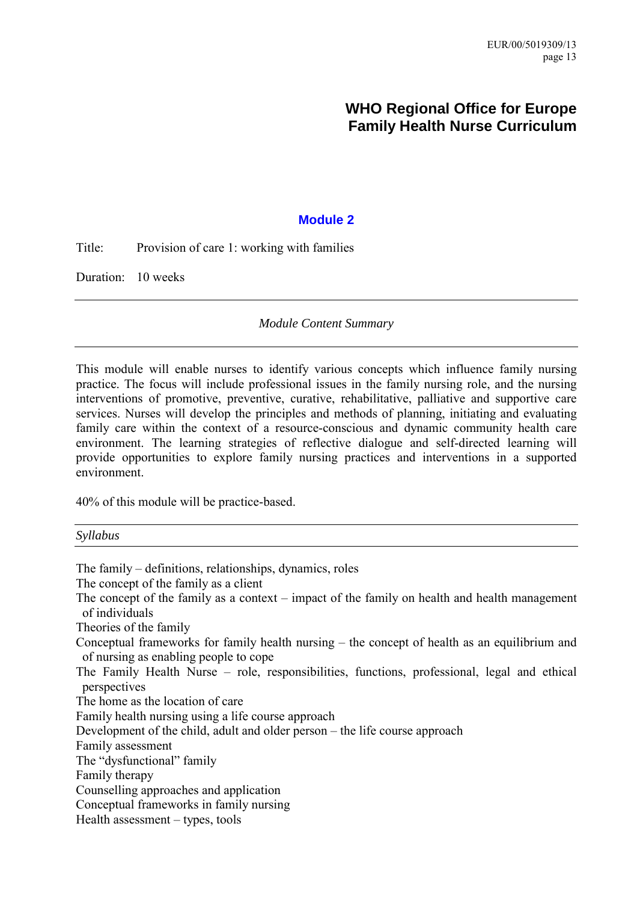# **WHO Regional Office for Europe Family Health Nurse Curriculum**

### **Module 2**

<span id="page-18-0"></span>Title: Provision of care 1: working with families

Duration: 10 weeks

*Module Content Summary* 

This module will enable nurses to identify various concepts which influence family nursing practice. The focus will include professional issues in the family nursing role, and the nursing interventions of promotive, preventive, curative, rehabilitative, palliative and supportive care services. Nurses will develop the principles and methods of planning, initiating and evaluating family care within the context of a resource-conscious and dynamic community health care environment. The learning strategies of reflective dialogue and self-directed learning will provide opportunities to explore family nursing practices and interventions in a supported environment.

40% of this module will be practice-based.

The family – definitions, relationships, dynamics, roles The concept of the family as a client The concept of the family as a context  $-$  impact of the family on health and health management of individuals Theories of the family Conceptual frameworks for family health nursing  $-$  the concept of health as an equilibrium and of nursing as enabling people to cope The Family Health Nurse  $-$  role, responsibilities, functions, professional, legal and ethical perspectives The home as the location of care Family health nursing using a life course approach Development of the child, adult and older person  $-$  the life course approach Family assessment The "dysfunctional" family Family therapy Counselling approaches and application Conceptual frameworks in family nursing Health assessment  $-$  types, tools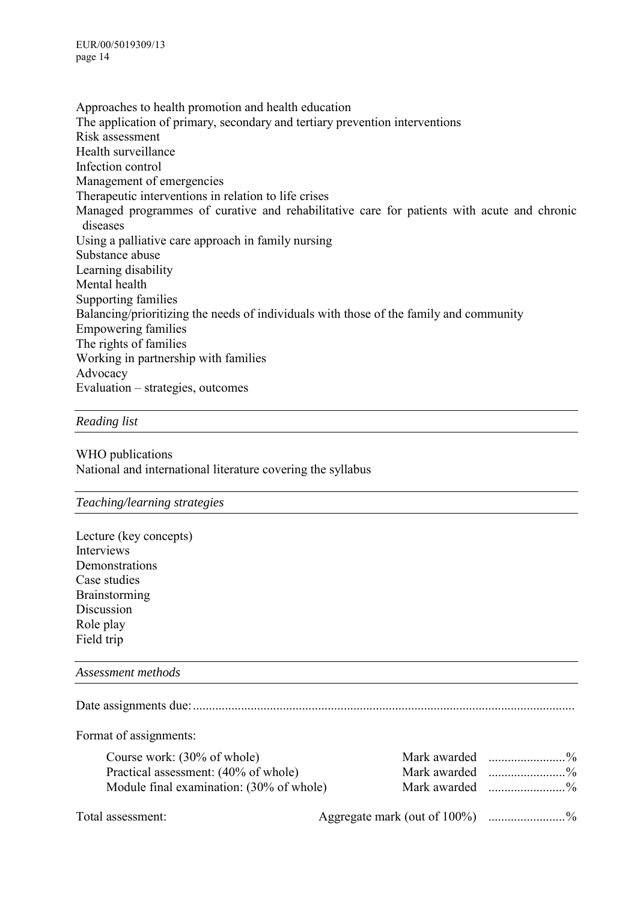Approaches to health promotion and health education The application of primary, secondary and tertiary prevention interventions Risk assessment Health surveillance Infection control Management of emergencies Therapeutic interventions in relation to life crises Managed programmes of curative and rehabilitative care for patients with acute and chronic diseases Using a palliative care approach in family nursing Substance abuse Learning disability Mental health Supporting families Balancing/prioritizing the needs of individuals with those of the family and community Empowering families The rights of families Working in partnership with families Advocacy Evaluation – strategies, outcomes

### *Reading list*

WHO publications National and international literature covering the syllabus

#### *Teaching/learning strategies*

Lecture (key concepts) Interviews **Demonstrations** Case studies **Brainstorming** Discussion Role play Field trip

#### *Assessment methods*

Date assignments due:.......................................................................................................................

Format of assignments:

| Course work: (30% of whole)              | Mark awarded $\ldots$ % |
|------------------------------------------|-------------------------|
| Practical assessment: (40% of whole)     | Mark awarded $\ldots$ % |
| Module final examination: (30% of whole) | Mark awarded $\ldots$ % |

Total assessment: Aggregate mark (out of 100%) .........................%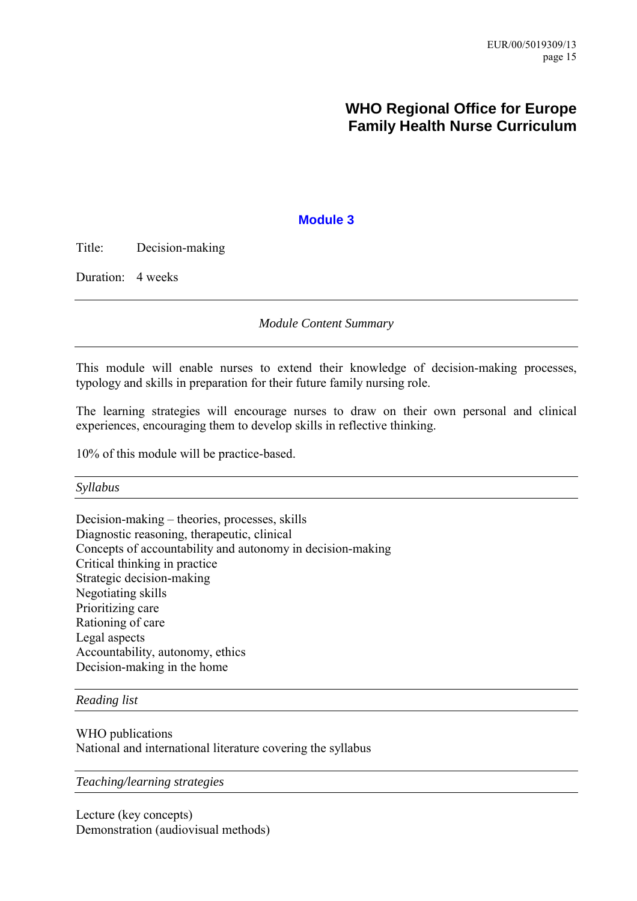# **WHO Regional Office for Europe Family Health Nurse Curriculum**

### **Module 3**

<span id="page-20-0"></span>Title: Decision-making

Duration: 4 weeks

*Module Content Summary* 

This module will enable nurses to extend their knowledge of decision-making processes, typology and skills in preparation for their future family nursing role.

The learning strategies will encourage nurses to draw on their own personal and clinical experiences, encouraging them to develop skills in reflective thinking.

10% of this module will be practice-based.

*Syllabus* 

Decision-making – theories, processes, skills Diagnostic reasoning, therapeutic, clinical Concepts of accountability and autonomy in decision-making Critical thinking in practice Strategic decision-making Negotiating skills Prioritizing care Rationing of care Legal aspects Accountability, autonomy, ethics Decision-making in the home

*Reading list* 

WHO publications National and international literature covering the syllabus

*Teaching/learning strategies*

Lecture (key concepts) Demonstration (audiovisual methods)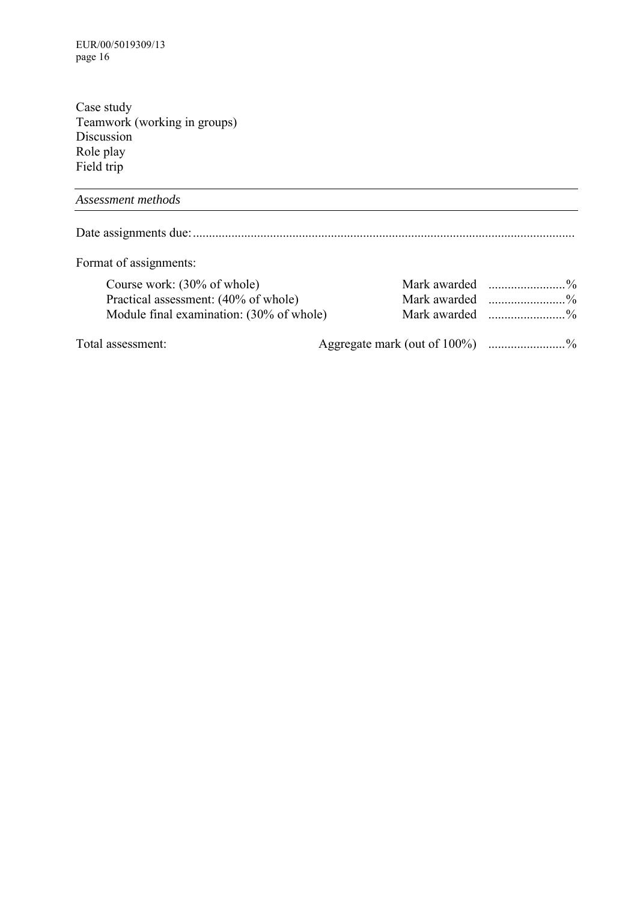EUR/00/5019309/13 page 16

Case study Teamwork (working in groups) Discussion Role play Field trip

*Assessment methods* Date assignments due:....................................................................................................................... Format of assignments: Course work: (30% of whole) Mark awarded ........................% Practical assessment: (40% of whole) Module final examination: (30% of whole) Mark awarded ........................% Total assessment: Aggregate mark (out of 100%) ......................%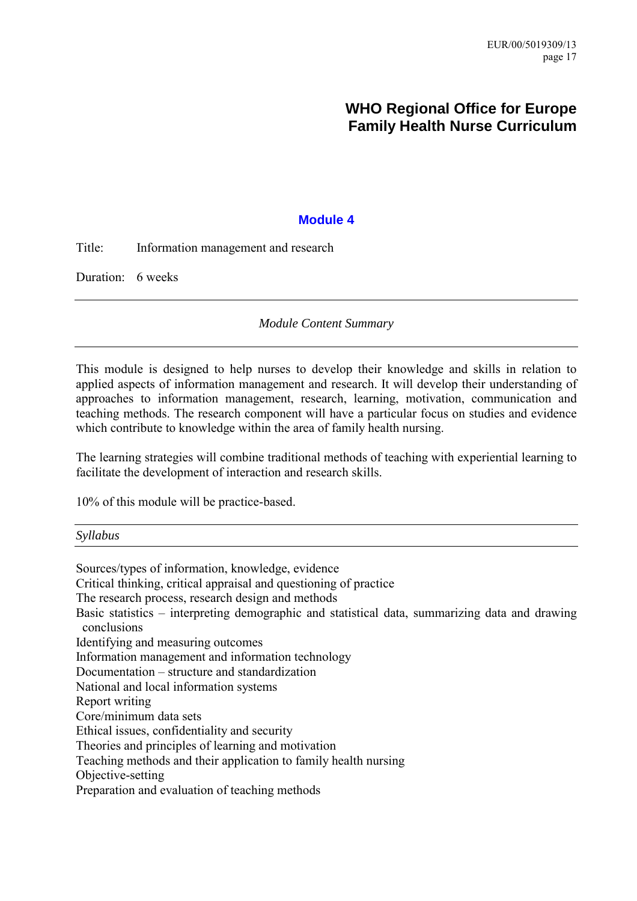# **WHO Regional Office for Europe Family Health Nurse Curriculum**

# **Module 4**

<span id="page-22-0"></span>Title: Information management and research

Duration: 6 weeks

*Module Content Summary* 

This module is designed to help nurses to develop their knowledge and skills in relation to applied aspects of information management and research. It will develop their understanding of approaches to information management, research, learning, motivation, communication and teaching methods. The research component will have a particular focus on studies and evidence which contribute to knowledge within the area of family health nursing.

The learning strategies will combine traditional methods of teaching with experiential learning to facilitate the development of interaction and research skills.

10% of this module will be practice-based.

*Syllabus* 

Sources/types of information, knowledge, evidence Critical thinking, critical appraisal and questioning of practice The research process, research design and methods Basic statistics  $-$  interpreting demographic and statistical data, summarizing data and drawing conclusions Identifying and measuring outcomes Information management and information technology Documentation – structure and standardization National and local information systems Report writing Core/minimum data sets Ethical issues, confidentiality and security Theories and principles of learning and motivation

Teaching methods and their application to family health nursing

Objective-setting

Preparation and evaluation of teaching methods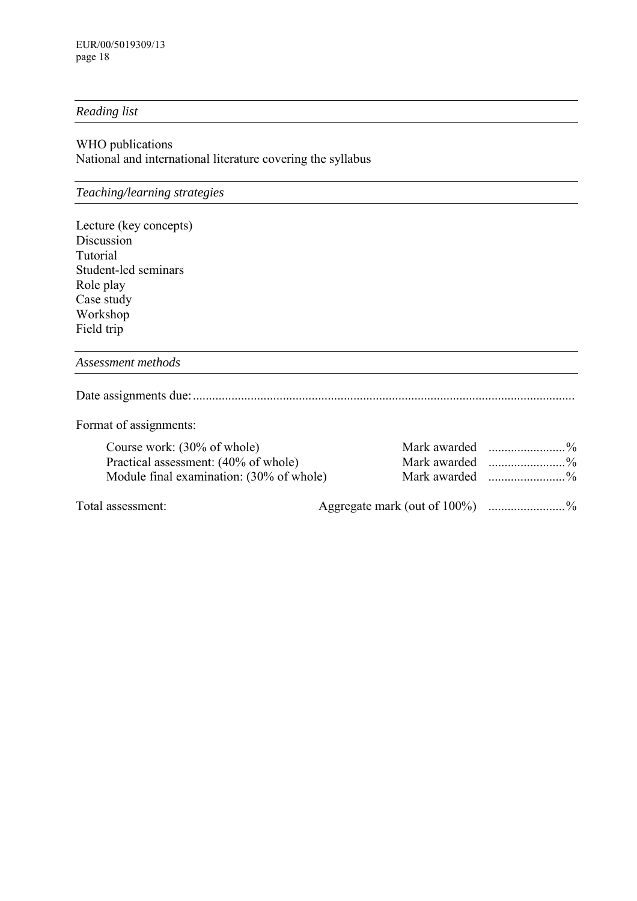### *Reading list*

### WHO publications National and international literature covering the syllabus

# *Teaching/learning strategies*

| Lecture (key concepts) |
|------------------------|
| Discussion             |
| Tutorial               |
| Student-led seminars   |
| Role play              |
| Case study             |
| Workshop               |
| Field trip             |

*Assessment methods*

Date assignments due:.......................................................................................................................

Format of assignments:

| Course work: $(30\% \text{ of whole})$   | Mark awarded $\ldots$ % |
|------------------------------------------|-------------------------|
| Practical assessment: (40% of whole)     | Mark awarded $\ldots$ % |
| Module final examination: (30% of whole) |                         |
|                                          |                         |

Total assessment: Aggregate mark (out of 100%) ......................%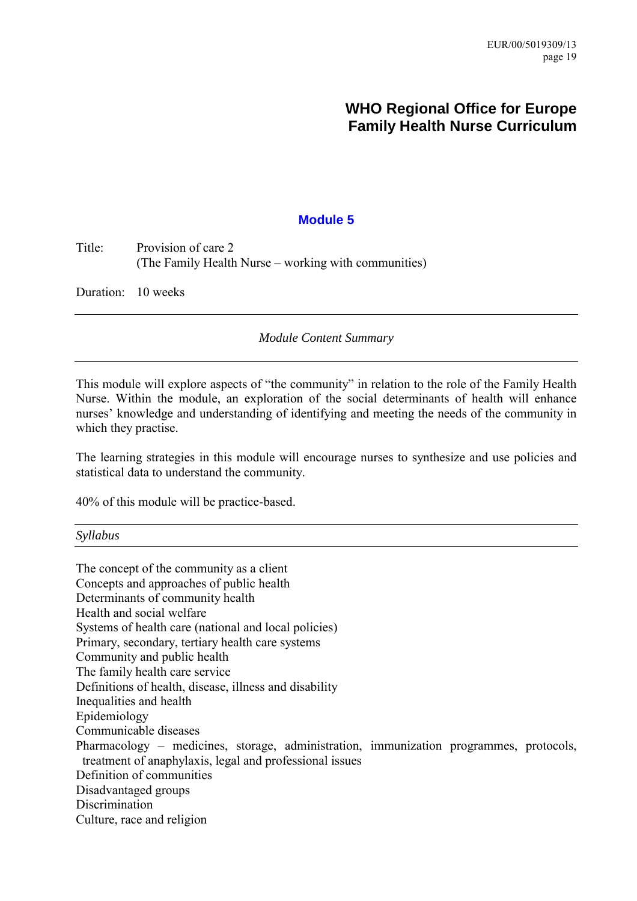# **WHO Regional Office for Europe Family Health Nurse Curriculum**

### **Module 5**

<span id="page-24-0"></span>Title: Provision of care 2 (The Family Health Nurse  $-$  working with communities)

Duration: 10 weeks

*Module Content Summary* 

This module will explore aspects of "the community" in relation to the role of the Family Health Nurse. Within the module, an exploration of the social determinants of health will enhance nurses' knowledge and understanding of identifying and meeting the needs of the community in which they practise.

The learning strategies in this module will encourage nurses to synthesize and use policies and statistical data to understand the community.

40% of this module will be practice-based.

*Syllabus* 

The concept of the community as a client Concepts and approaches of public health Determinants of community health Health and social welfare Systems of health care (national and local policies) Primary, secondary, tertiary health care systems Community and public health The family health care service Definitions of health, disease, illness and disability Inequalities and health Epidemiology Communicable diseases Pharmacology – medicines, storage, administration, immunization programmes, protocols, treatment of anaphylaxis, legal and professional issues Definition of communities Disadvantaged groups Discrimination Culture, race and religion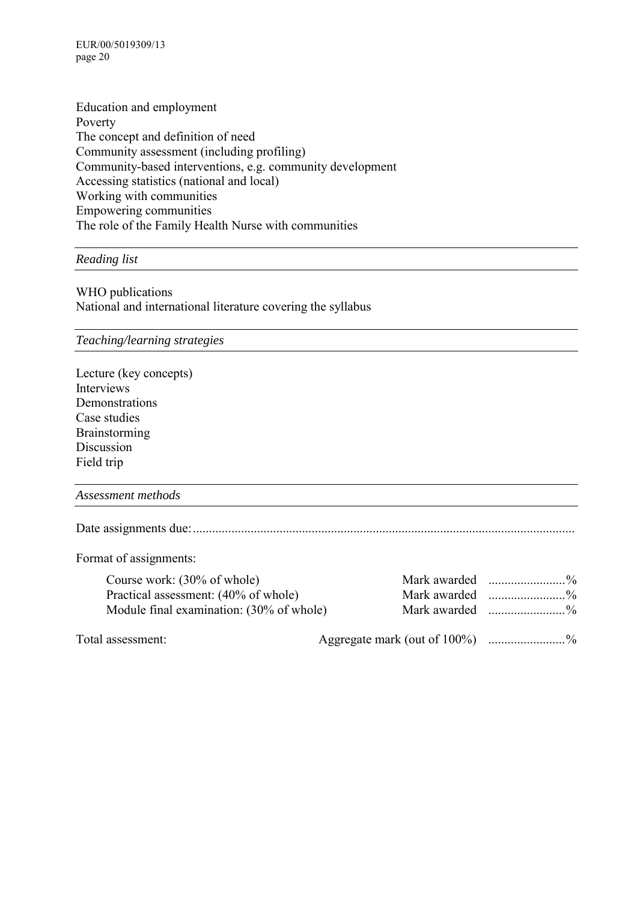EUR/00/5019309/13 page 20

Education and employment Poverty The concept and definition of need Community assessment (including profiling) Community-based interventions, e.g. community development Accessing statistics (national and local) Working with communities Empowering communities The role of the Family Health Nurse with communities

*Reading list* 

WHO publications National and international literature covering the syllabus

*Teaching/learning strategies*

Lecture (key concepts) Interviews Demonstrations Case studies Brainstorming Discussion Field trip

*Assessment methods*

Date assignments due:.......................................................................................................................

Format of assignments:

| Course work: $(30\% \text{ of whole})$   |                         |
|------------------------------------------|-------------------------|
| Practical assessment: (40% of whole)     |                         |
| Module final examination: (30% of whole) | Mark awarded $\ldots$ % |
|                                          |                         |

Total assessment: Aggregate mark (out of 100%) .......................%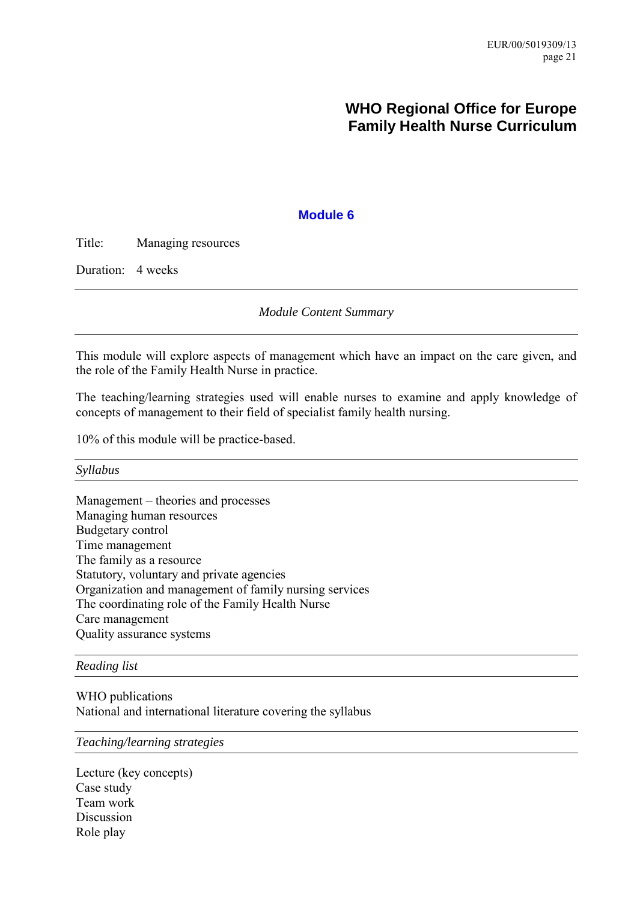# **WHO Regional Office for Europe Family Health Nurse Curriculum**

### **Module 6**

<span id="page-26-0"></span>Title: Managing resources

Duration: 4 weeks

*Module Content Summary* 

This module will explore aspects of management which have an impact on the care given, and the role of the Family Health Nurse in practice.

The teaching/learning strategies used will enable nurses to examine and apply knowledge of concepts of management to their field of specialist family health nursing.

10% of this module will be practice-based.

*Syllabus* 

 $Management - theories and processes$ Managing human resources Budgetary control Time management The family as a resource Statutory, voluntary and private agencies Organization and management of family nursing services The coordinating role of the Family Health Nurse Care management Quality assurance systems

#### *Reading list*

WHO publications National and international literature covering the syllabus

#### *Teaching/learning strategies*

Lecture (key concepts) Case study Team work **Discussion** Role play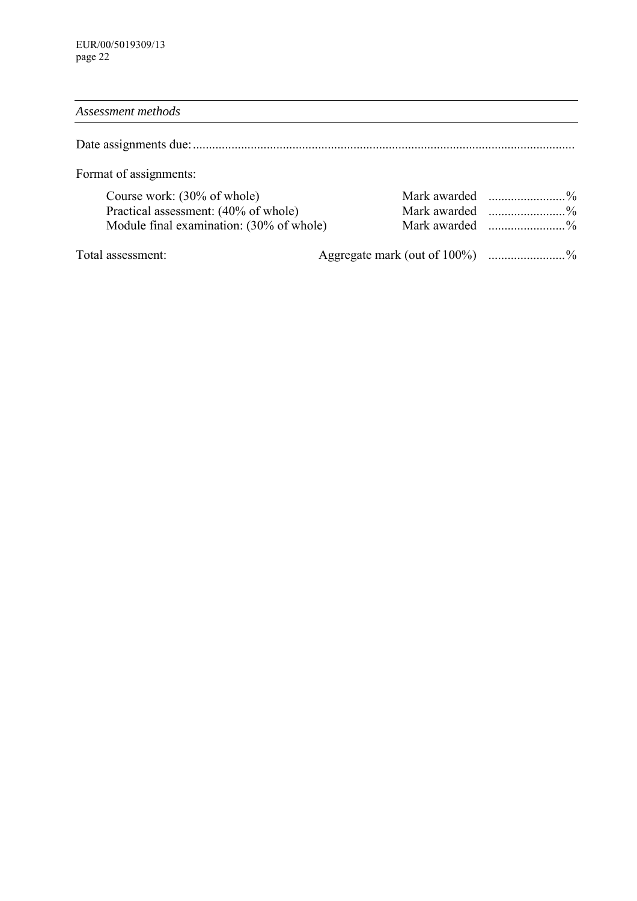# *Assessment methods*

Date assignments due:.......................................................................................................................

Format of assignments:

| Course work: $(30\% \text{ of whole})$   |  |
|------------------------------------------|--|
| Practical assessment: (40% of whole)     |  |
| Module final examination: (30% of whole) |  |

Total assessment:  $\qquad \qquad \text{Aggregate mark (out of 100%)}$  .......................%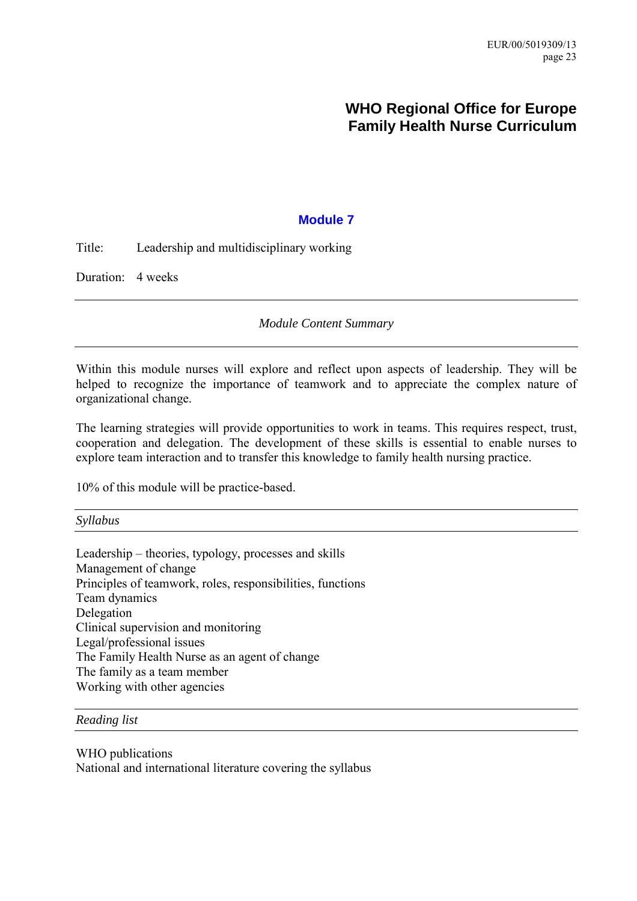# **WHO Regional Office for Europe Family Health Nurse Curriculum**

# **Module 7**

<span id="page-28-0"></span>Title: Leadership and multidisciplinary working

Duration: 4 weeks

*Module Content Summary* 

Within this module nurses will explore and reflect upon aspects of leadership. They will be helped to recognize the importance of teamwork and to appreciate the complex nature of organizational change.

The learning strategies will provide opportunities to work in teams. This requires respect, trust, cooperation and delegation. The development of these skills is essential to enable nurses to explore team interaction and to transfer this knowledge to family health nursing practice.

10% of this module will be practice-based.

*Syllabus* 

Leadership  $-$  theories, typology, processes and skills Management of change Principles of teamwork, roles, responsibilities, functions Team dynamics Delegation Clinical supervision and monitoring Legal/professional issues The Family Health Nurse as an agent of change The family as a team member Working with other agencies

*Reading list* 

WHO publications National and international literature covering the syllabus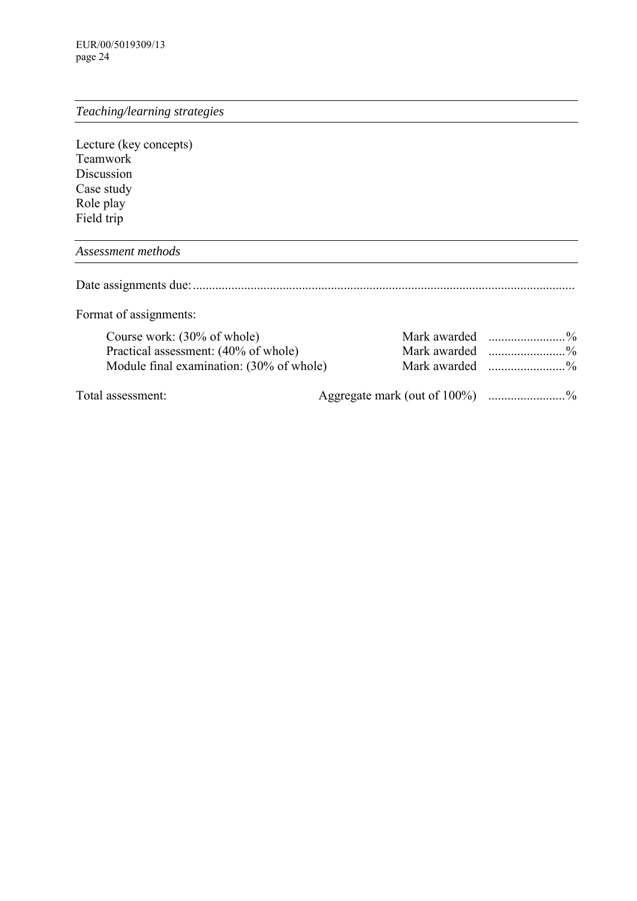# *Teaching/learning strategies*

Lecture (key concepts) Teamwork Discussion Case study Role play Field trip

### *Assessment methods*

Date assignments due:.......................................................................................................................

Format of assignments:

| Course work: $(30\% \text{ of whole})$   |                                |  |
|------------------------------------------|--------------------------------|--|
| Practical assessment: (40% of whole)     |                                |  |
| Module final examination: (30% of whole) |                                |  |
| Total assessment:                        | Aggregate mark (out of 100%) % |  |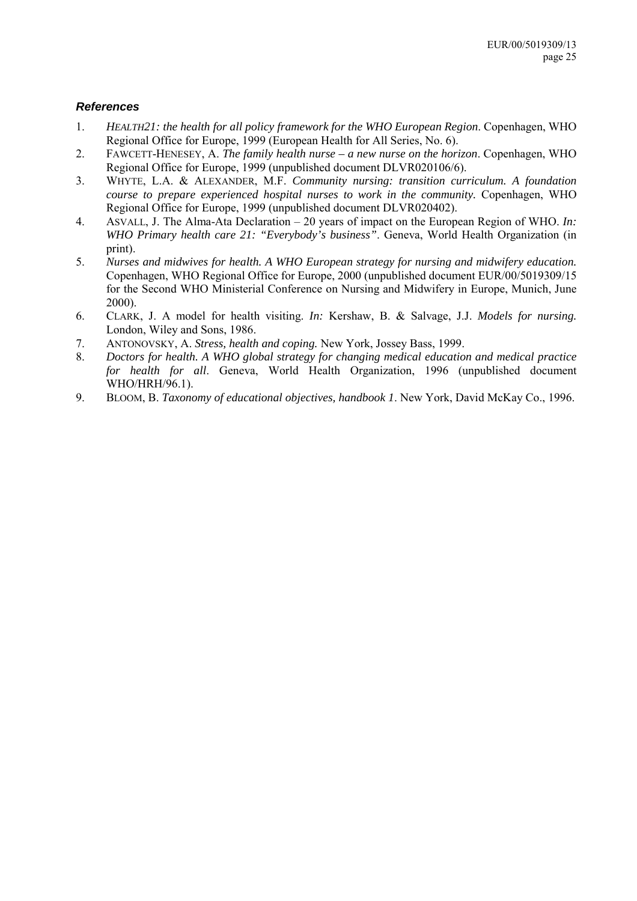### *References*

- 1. *HEALTH21: the health for all policy framework for the WHO European Region*. Copenhagen, WHO Regional Office for Europe, 1999 (European Health for All Series, No. 6).
- 2. FAWCETT-HENESEY, A. *The family health nurse a new nurse on the horizon*. Copenhagen, WHO Regional Office for Europe, 1999 (unpublished document DLVR020106/6).
- 3. WHYTE, L.A. & ALEXANDER, M.F. *Community nursing: transition curriculum. A foundation course to prepare experienced hospital nurses to work in the community.* Copenhagen, WHO Regional Office for Europe, 1999 (unpublished document DLVR020402).
- 4. ASVALL, J. The Alma-Ata Declaration 20 years of impact on the European Region of WHO. *In: WHO Primary health care 21: "Everybody's business"*. Geneva, World Health Organization (in print).
- 5. *Nurses and midwives for health. A WHO European strategy for nursing and midwifery education.* Copenhagen, WHO Regional Office for Europe, 2000 (unpublished document EUR/00/5019309/15 for the Second WHO Ministerial Conference on Nursing and Midwifery in Europe, Munich, June 2000).
- 6. CLARK, J. A model for health visiting. *In:* Kershaw, B. & Salvage, J.J. *Models for nursing.* London, Wiley and Sons, 1986.
- 7. ANTONOVSKY, A. *Stress, health and coping.* New York, Jossey Bass, 1999.
- 8. *Doctors for health. A WHO global strategy for changing medical education and medical practice for health for all*. Geneva, World Health Organization, 1996 (unpublished document WHO/HRH/96.1).
- 9. BLOOM, B. *Taxonomy of educational objectives, handbook 1*. New York, David McKay Co., 1996.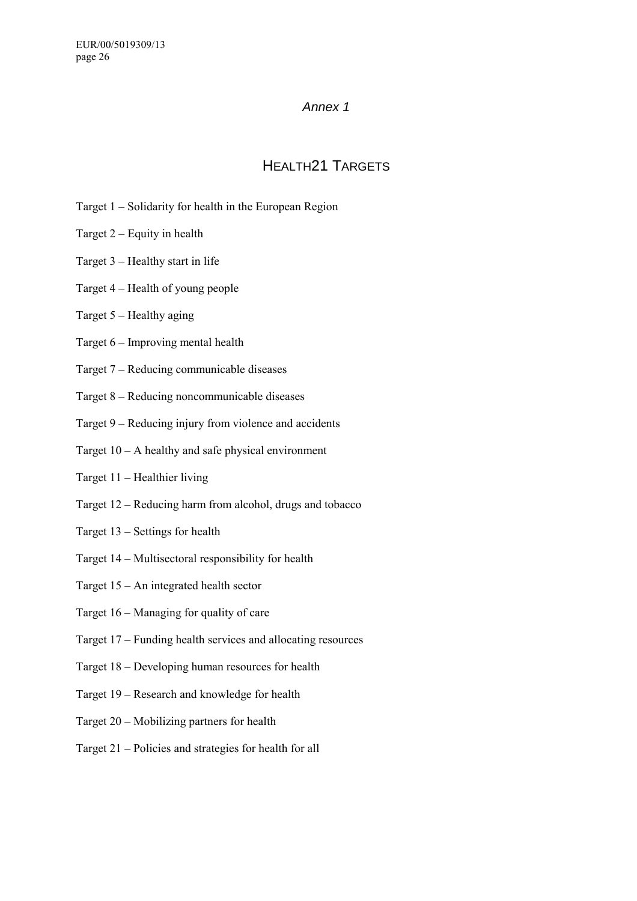### *Annex 1*

# HEALTH21 TARGETS

- <span id="page-31-0"></span>Target  $1$  – Solidarity for health in the European Region
- Target  $2 -$  Equity in health
- Target  $3$  Healthy start in life
- Target  $4$  Health of young people
- Target  $5$  Healthy aging
- Target  $6$  Improving mental health
- Target  $7$  Reducing communicable diseases
- Target  $8 -$  Reducing noncommunicable diseases
- Target  $9$  Reducing injury from violence and accidents
- Target  $10 A$  healthy and safe physical environment
- Target  $11$  Healthier living
- Target  $12$  Reducing harm from alcohol, drugs and tobacco
- Target  $13$  Settings for health
- Target  $14$  Multisectoral responsibility for health
- Target  $15 An$  integrated health sector
- Target  $16 -$ Managing for quality of care
- Target  $17$  Funding health services and allocating resources
- Target  $18$  Developing human resources for health
- Target 19 Research and knowledge for health
- Target  $20$  Mobilizing partners for health
- Target  $21$  Policies and strategies for health for all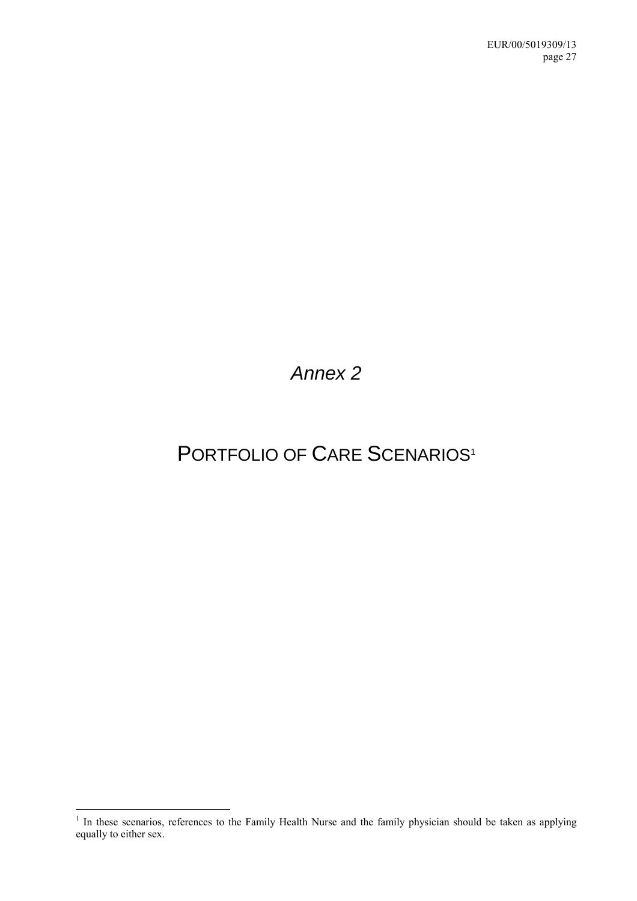<span id="page-32-0"></span>*Annex 2* 

# PORTFOLIO OF CARE SCENARIOS<sup>1</sup>

<sup>&</sup>lt;sup>1</sup> In these scenarios, references to the Family Health Nurse and the family physician should be taken as applying equally to either sex.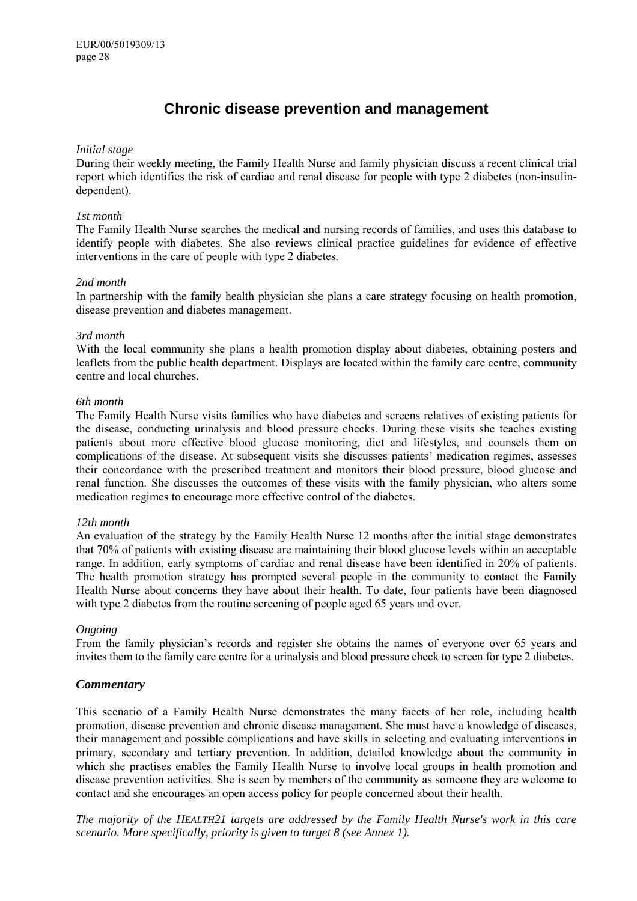# **Chronic disease prevention and management**

#### *Initial stage*

During their weekly meeting, the Family Health Nurse and family physician discuss a recent clinical trial report which identifies the risk of cardiac and renal disease for people with type 2 diabetes (non-insulindependent).

#### *1st month*

The Family Health Nurse searches the medical and nursing records of families, and uses this database to identify people with diabetes. She also reviews clinical practice guidelines for evidence of effective interventions in the care of people with type 2 diabetes.

#### *2nd month*

In partnership with the family health physician she plans a care strategy focusing on health promotion, disease prevention and diabetes management.

#### *3rd month*

With the local community she plans a health promotion display about diabetes, obtaining posters and leaflets from the public health department. Displays are located within the family care centre, community centre and local churches.

#### *6th month*

The Family Health Nurse visits families who have diabetes and screens relatives of existing patients for the disease, conducting urinalysis and blood pressure checks. During these visits she teaches existing patients about more effective blood glucose monitoring, diet and lifestyles, and counsels them on complications of the disease. At subsequent visits she discusses patients' medication regimes, assesses their concordance with the prescribed treatment and monitors their blood pressure, blood glucose and renal function. She discusses the outcomes of these visits with the family physician, who alters some medication regimes to encourage more effective control of the diabetes.

#### *12th month*

An evaluation of the strategy by the Family Health Nurse 12 months after the initial stage demonstrates that 70% of patients with existing disease are maintaining their blood glucose levels within an acceptable range. In addition, early symptoms of cardiac and renal disease have been identified in 20% of patients. The health promotion strategy has prompted several people in the community to contact the Family Health Nurse about concerns they have about their health. To date, four patients have been diagnosed with type 2 diabetes from the routine screening of people aged 65 years and over.

#### *Ongoing*

From the family physician's records and register she obtains the names of everyone over 65 years and invites them to the family care centre for a urinalysis and blood pressure check to screen for type 2 diabetes.

#### *Commentary*

This scenario of a Family Health Nurse demonstrates the many facets of her role, including health promotion, disease prevention and chronic disease management. She must have a knowledge of diseases, their management and possible complications and have skills in selecting and evaluating interventions in primary, secondary and tertiary prevention. In addition, detailed knowledge about the community in which she practises enables the Family Health Nurse to involve local groups in health promotion and disease prevention activities. She is seen by members of the community as someone they are welcome to contact and she encourages an open access policy for people concerned about their health.

*The majority of the HEALTH21 targets are addressed by the Family Health Nurse's work in this care scenario. More specifically, priority is given to target 8 (see Annex 1).*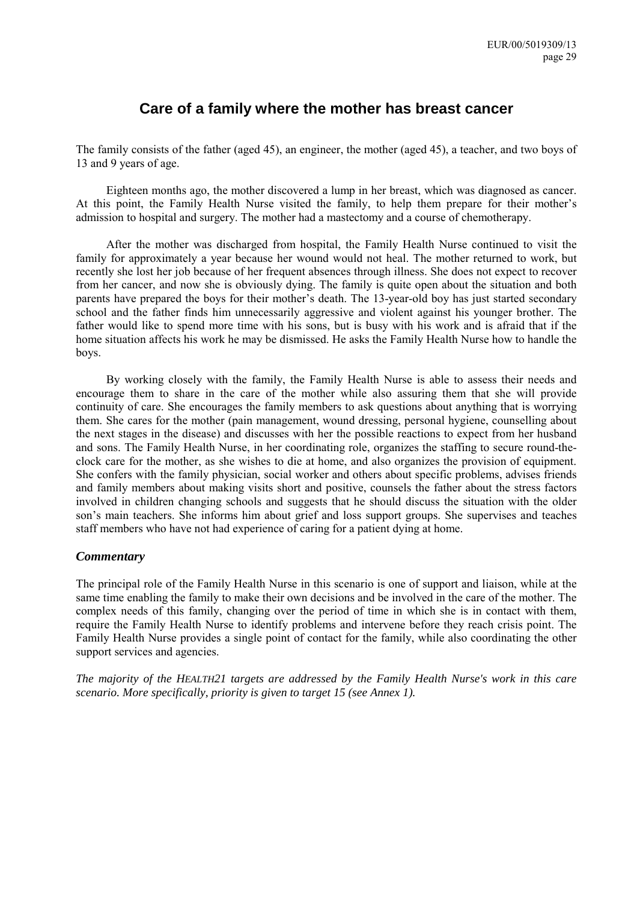# **Care of a family where the mother has breast cancer**

The family consists of the father (aged 45), an engineer, the mother (aged 45), a teacher, and two boys of 13 and 9 years of age.

Eighteen months ago, the mother discovered a lump in her breast, which was diagnosed as cancer. At this point, the Family Health Nurse visited the family, to help them prepare for their mother's admission to hospital and surgery. The mother had a mastectomy and a course of chemotherapy.

After the mother was discharged from hospital, the Family Health Nurse continued to visit the family for approximately a year because her wound would not heal. The mother returned to work, but recently she lost her job because of her frequent absences through illness. She does not expect to recover from her cancer, and now she is obviously dying. The family is quite open about the situation and both parents have prepared the boys for their mother's death. The 13-year-old boy has just started secondary school and the father finds him unnecessarily aggressive and violent against his younger brother. The father would like to spend more time with his sons, but is busy with his work and is afraid that if the home situation affects his work he may be dismissed. He asks the Family Health Nurse how to handle the boys.

By working closely with the family, the Family Health Nurse is able to assess their needs and encourage them to share in the care of the mother while also assuring them that she will provide continuity of care. She encourages the family members to ask questions about anything that is worrying them. She cares for the mother (pain management, wound dressing, personal hygiene, counselling about the next stages in the disease) and discusses with her the possible reactions to expect from her husband and sons. The Family Health Nurse, in her coordinating role, organizes the staffing to secure round-theclock care for the mother, as she wishes to die at home, and also organizes the provision of equipment. She confers with the family physician, social worker and others about specific problems, advises friends and family members about making visits short and positive, counsels the father about the stress factors involved in children changing schools and suggests that he should discuss the situation with the older son's main teachers. She informs him about grief and loss support groups. She supervises and teaches staff members who have not had experience of caring for a patient dying at home.

### *Commentary*

The principal role of the Family Health Nurse in this scenario is one of support and liaison, while at the same time enabling the family to make their own decisions and be involved in the care of the mother. The complex needs of this family, changing over the period of time in which she is in contact with them, require the Family Health Nurse to identify problems and intervene before they reach crisis point. The Family Health Nurse provides a single point of contact for the family, while also coordinating the other support services and agencies.

*The majority of the HEALTH21 targets are addressed by the Family Health Nurse's work in this care scenario. More specifically, priority is given to target 15 (see Annex 1).*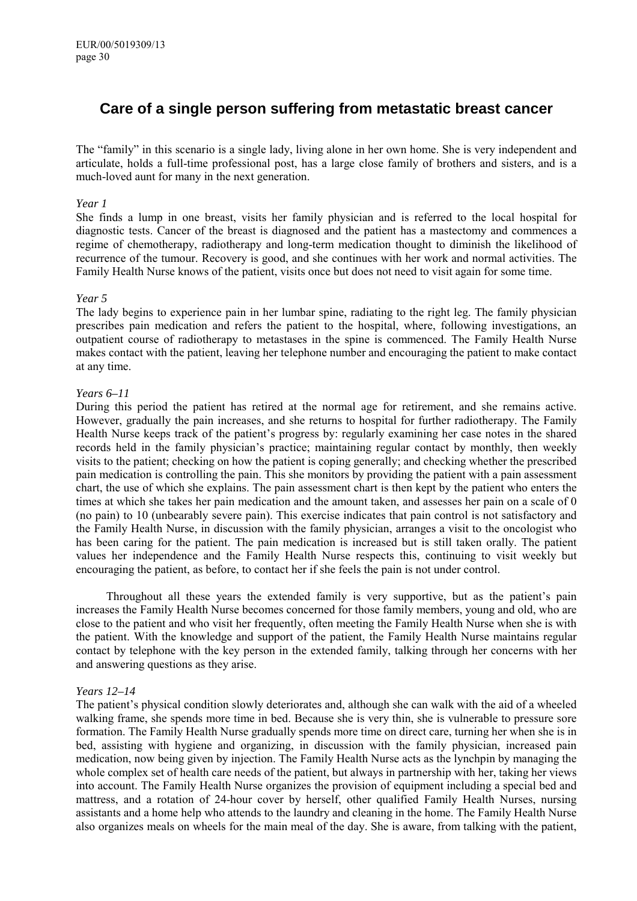# **Care of a single person suffering from metastatic breast cancer**

The "family" in this scenario is a single lady, living alone in her own home. She is very independent and articulate, holds a full-time professional post, has a large close family of brothers and sisters, and is a much-loved aunt for many in the next generation.

#### *Year 1*

She finds a lump in one breast, visits her family physician and is referred to the local hospital for diagnostic tests. Cancer of the breast is diagnosed and the patient has a mastectomy and commences a regime of chemotherapy, radiotherapy and long-term medication thought to diminish the likelihood of recurrence of the tumour. Recovery is good, and she continues with her work and normal activities. The Family Health Nurse knows of the patient, visits once but does not need to visit again for some time.

#### *Year 5*

The lady begins to experience pain in her lumbar spine, radiating to the right leg. The family physician prescribes pain medication and refers the patient to the hospital, where, following investigations, an outpatient course of radiotherapy to metastases in the spine is commenced. The Family Health Nurse makes contact with the patient, leaving her telephone number and encouraging the patient to make contact at any time.

#### *Years 6–11*

During this period the patient has retired at the normal age for retirement, and she remains active. However, gradually the pain increases, and she returns to hospital for further radiotherapy. The Family Health Nurse keeps track of the patient's progress by: regularly examining her case notes in the shared records held in the family physician's practice; maintaining regular contact by monthly, then weekly visits to the patient; checking on how the patient is coping generally; and checking whether the prescribed pain medication is controlling the pain. This she monitors by providing the patient with a pain assessment chart, the use of which she explains. The pain assessment chart is then kept by the patient who enters the times at which she takes her pain medication and the amount taken, and assesses her pain on a scale of 0 (no pain) to 10 (unbearably severe pain). This exercise indicates that pain control is not satisfactory and the Family Health Nurse, in discussion with the family physician, arranges a visit to the oncologist who has been caring for the patient. The pain medication is increased but is still taken orally. The patient values her independence and the Family Health Nurse respects this, continuing to visit weekly but encouraging the patient, as before, to contact her if she feels the pain is not under control.

Throughout all these years the extended family is very supportive, but as the patient's pain increases the Family Health Nurse becomes concerned for those family members, young and old, who are close to the patient and who visit her frequently, often meeting the Family Health Nurse when she is with the patient. With the knowledge and support of the patient, the Family Health Nurse maintains regular contact by telephone with the key person in the extended family, talking through her concerns with her and answering questions as they arise.

#### *Years 12–14*

The patient's physical condition slowly deteriorates and, although she can walk with the aid of a wheeled walking frame, she spends more time in bed. Because she is very thin, she is vulnerable to pressure sore formation. The Family Health Nurse gradually spends more time on direct care, turning her when she is in bed, assisting with hygiene and organizing, in discussion with the family physician, increased pain medication, now being given by injection. The Family Health Nurse acts as the lynchpin by managing the whole complex set of health care needs of the patient, but always in partnership with her, taking her views into account. The Family Health Nurse organizes the provision of equipment including a special bed and mattress, and a rotation of 24-hour cover by herself, other qualified Family Health Nurses, nursing assistants and a home help who attends to the laundry and cleaning in the home. The Family Health Nurse also organizes meals on wheels for the main meal of the day. She is aware, from talking with the patient,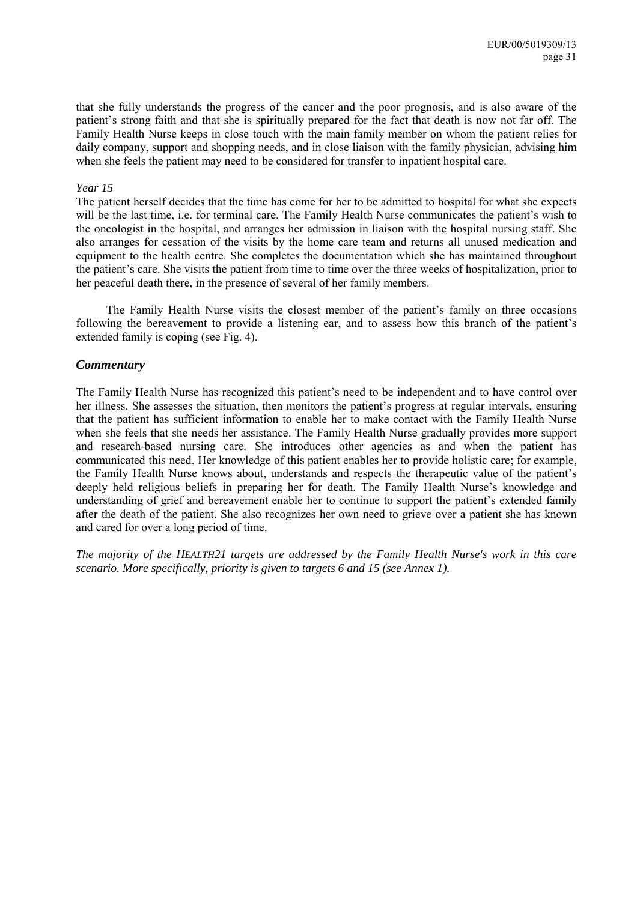that she fully understands the progress of the cancer and the poor prognosis, and is also aware of the patient's strong faith and that she is spiritually prepared for the fact that death is now not far off. The Family Health Nurse keeps in close touch with the main family member on whom the patient relies for daily company, support and shopping needs, and in close liaison with the family physician, advising him when she feels the patient may need to be considered for transfer to inpatient hospital care.

#### *Year 15*

The patient herself decides that the time has come for her to be admitted to hospital for what she expects will be the last time, i.e. for terminal care. The Family Health Nurse communicates the patient's wish to the oncologist in the hospital, and arranges her admission in liaison with the hospital nursing staff. She also arranges for cessation of the visits by the home care team and returns all unused medication and equipment to the health centre. She completes the documentation which she has maintained throughout the patient's care. She visits the patient from time to time over the three weeks of hospitalization, prior to her peaceful death there, in the presence of several of her family members.

The Family Health Nurse visits the closest member of the patient's family on three occasions following the bereavement to provide a listening ear, and to assess how this branch of the patient's extended family is coping (see Fig. 4).

#### *Commentary*

The Family Health Nurse has recognized this patient's need to be independent and to have control over her illness. She assesses the situation, then monitors the patient's progress at regular intervals, ensuring that the patient has sufficient information to enable her to make contact with the Family Health Nurse when she feels that she needs her assistance. The Family Health Nurse gradually provides more support and research-based nursing care. She introduces other agencies as and when the patient has communicated this need. Her knowledge of this patient enables her to provide holistic care; for example, the Family Health Nurse knows about, understands and respects the therapeutic value of the patient's deeply held religious beliefs in preparing her for death. The Family Health Nurse's knowledge and understanding of grief and bereavement enable her to continue to support the patient's extended family after the death of the patient. She also recognizes her own need to grieve over a patient she has known and cared for over a long period of time.

*The majority of the HEALTH21 targets are addressed by the Family Health Nurse's work in this care scenario. More specifically, priority is given to targets 6 and 15 (see Annex 1).*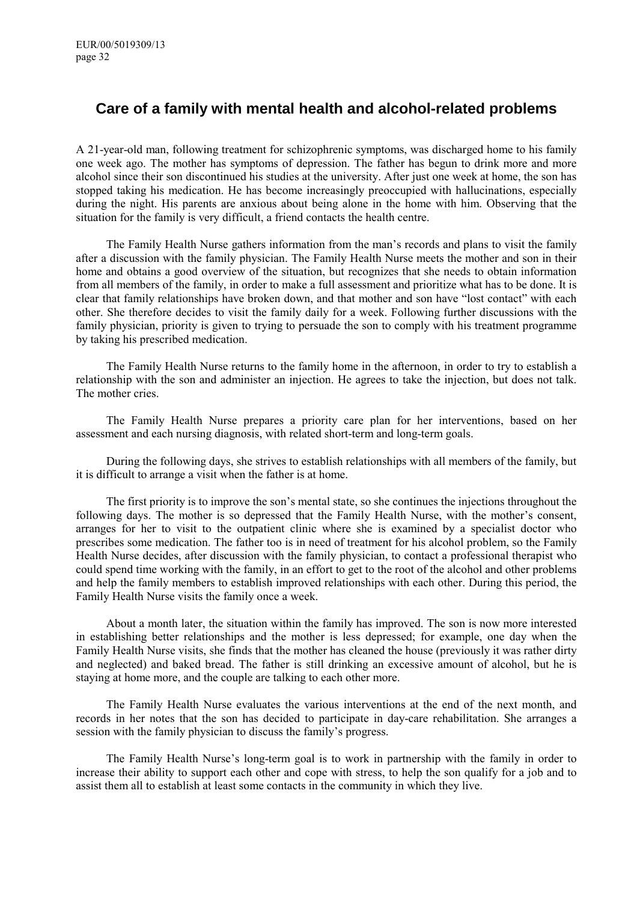# **Care of a family with mental health and alcohol-related problems**

A 21-year-old man, following treatment for schizophrenic symptoms, was discharged home to his family one week ago. The mother has symptoms of depression. The father has begun to drink more and more alcohol since their son discontinued his studies at the university. After just one week at home, the son has stopped taking his medication. He has become increasingly preoccupied with hallucinations, especially during the night. His parents are anxious about being alone in the home with him. Observing that the situation for the family is very difficult, a friend contacts the health centre.

The Family Health Nurse gathers information from the man's records and plans to visit the family after a discussion with the family physician. The Family Health Nurse meets the mother and son in their home and obtains a good overview of the situation, but recognizes that she needs to obtain information from all members of the family, in order to make a full assessment and prioritize what has to be done. It is clear that family relationships have broken down, and that mother and son have "lost contact" with each other. She therefore decides to visit the family daily for a week. Following further discussions with the family physician, priority is given to trying to persuade the son to comply with his treatment programme by taking his prescribed medication.

The Family Health Nurse returns to the family home in the afternoon, in order to try to establish a relationship with the son and administer an injection. He agrees to take the injection, but does not talk. The mother cries.

The Family Health Nurse prepares a priority care plan for her interventions, based on her assessment and each nursing diagnosis, with related short-term and long-term goals.

During the following days, she strives to establish relationships with all members of the family, but it is difficult to arrange a visit when the father is at home.

The first priority is to improve the son's mental state, so she continues the injections throughout the following days. The mother is so depressed that the Family Health Nurse, with the mother's consent, arranges for her to visit to the outpatient clinic where she is examined by a specialist doctor who prescribes some medication. The father too is in need of treatment for his alcohol problem, so the Family Health Nurse decides, after discussion with the family physician, to contact a professional therapist who could spend time working with the family, in an effort to get to the root of the alcohol and other problems and help the family members to establish improved relationships with each other. During this period, the Family Health Nurse visits the family once a week.

About a month later, the situation within the family has improved. The son is now more interested in establishing better relationships and the mother is less depressed; for example, one day when the Family Health Nurse visits, she finds that the mother has cleaned the house (previously it was rather dirty and neglected) and baked bread. The father is still drinking an excessive amount of alcohol, but he is staying at home more, and the couple are talking to each other more.

The Family Health Nurse evaluates the various interventions at the end of the next month, and records in her notes that the son has decided to participate in day-care rehabilitation. She arranges a session with the family physician to discuss the family's progress.

The Family Health Nurse's long-term goal is to work in partnership with the family in order to increase their ability to support each other and cope with stress, to help the son qualify for a job and to assist them all to establish at least some contacts in the community in which they live.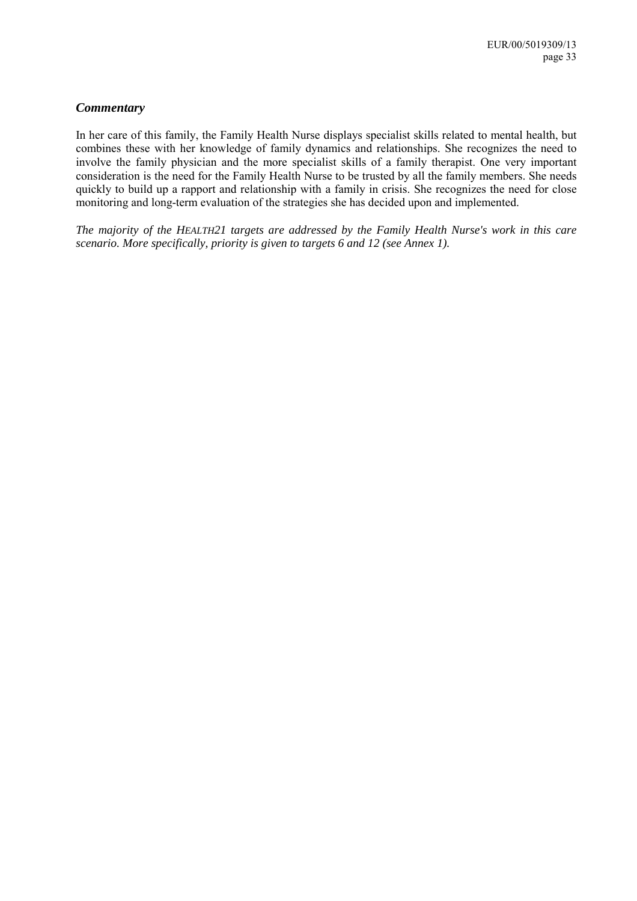### *Commentary*

In her care of this family, the Family Health Nurse displays specialist skills related to mental health, but combines these with her knowledge of family dynamics and relationships. She recognizes the need to involve the family physician and the more specialist skills of a family therapist. One very important consideration is the need for the Family Health Nurse to be trusted by all the family members. She needs quickly to build up a rapport and relationship with a family in crisis. She recognizes the need for close monitoring and long-term evaluation of the strategies she has decided upon and implemented.

*The majority of the HEALTH21 targets are addressed by the Family Health Nurse's work in this care scenario. More specifically, priority is given to targets 6 and 12 (see Annex 1).*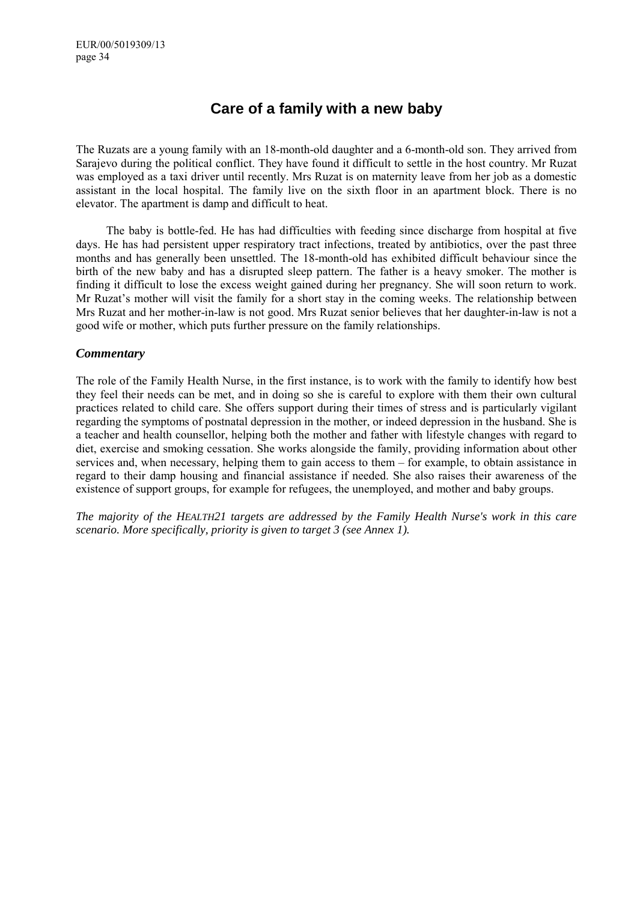# **Care of a family with a new baby**

The Ruzats are a young family with an 18-month-old daughter and a 6-month-old son. They arrived from Sarajevo during the political conflict. They have found it difficult to settle in the host country. Mr Ruzat was employed as a taxi driver until recently. Mrs Ruzat is on maternity leave from her job as a domestic assistant in the local hospital. The family live on the sixth floor in an apartment block. There is no elevator. The apartment is damp and difficult to heat.

The baby is bottle-fed. He has had difficulties with feeding since discharge from hospital at five days. He has had persistent upper respiratory tract infections, treated by antibiotics, over the past three months and has generally been unsettled. The 18-month-old has exhibited difficult behaviour since the birth of the new baby and has a disrupted sleep pattern. The father is a heavy smoker. The mother is finding it difficult to lose the excess weight gained during her pregnancy. She will soon return to work. Mr Ruzat's mother will visit the family for a short stay in the coming weeks. The relationship between Mrs Ruzat and her mother-in-law is not good. Mrs Ruzat senior believes that her daughter-in-law is not a good wife or mother, which puts further pressure on the family relationships.

### *Commentary*

The role of the Family Health Nurse, in the first instance, is to work with the family to identify how best they feel their needs can be met, and in doing so she is careful to explore with them their own cultural practices related to child care. She offers support during their times of stress and is particularly vigilant regarding the symptoms of postnatal depression in the mother, or indeed depression in the husband. She is a teacher and health counsellor, helping both the mother and father with lifestyle changes with regard to diet, exercise and smoking cessation. She works alongside the family, providing information about other services and, when necessary, helping them to gain access to them – for example, to obtain assistance in regard to their damp housing and financial assistance if needed. She also raises their awareness of the existence of support groups, for example for refugees, the unemployed, and mother and baby groups.

*The majority of the HEALTH21 targets are addressed by the Family Health Nurse's work in this care scenario. More specifically, priority is given to target 3 (see Annex 1).*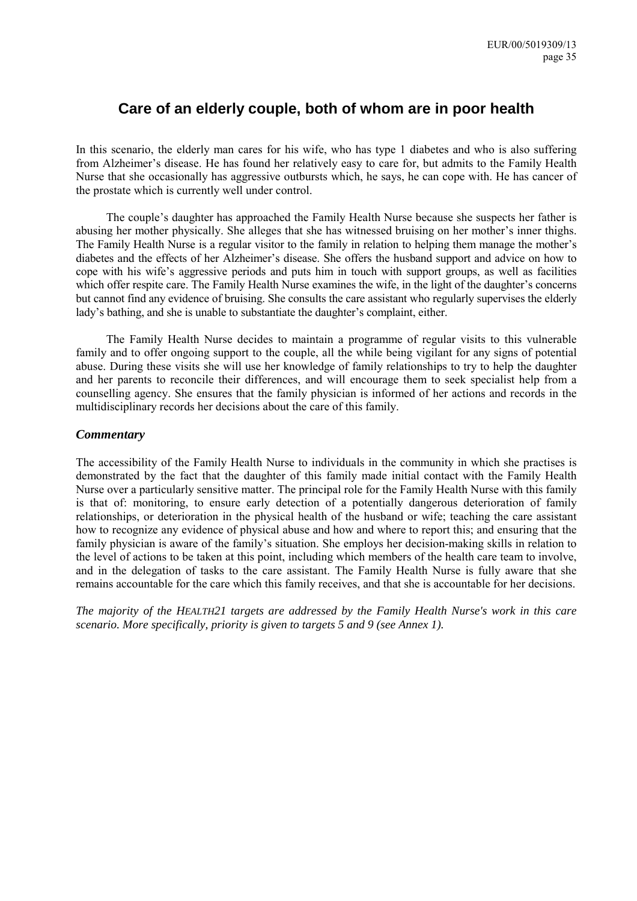# **Care of an elderly couple, both of whom are in poor health**

In this scenario, the elderly man cares for his wife, who has type 1 diabetes and who is also suffering from Alzheimer's disease. He has found her relatively easy to care for, but admits to the Family Health Nurse that she occasionally has aggressive outbursts which, he says, he can cope with. He has cancer of the prostate which is currently well under control.

The couple's daughter has approached the Family Health Nurse because she suspects her father is abusing her mother physically. She alleges that she has witnessed bruising on her mother's inner thighs. The Family Health Nurse is a regular visitor to the family in relation to helping them manage the mother's diabetes and the effects of her Alzheimer's disease. She offers the husband support and advice on how to cope with his wifeís aggressive periods and puts him in touch with support groups, as well as facilities which offer respite care. The Family Health Nurse examines the wife, in the light of the daughter's concerns but cannot find any evidence of bruising. She consults the care assistant who regularly supervises the elderly lady's bathing, and she is unable to substantiate the daughter's complaint, either.

The Family Health Nurse decides to maintain a programme of regular visits to this vulnerable family and to offer ongoing support to the couple, all the while being vigilant for any signs of potential abuse. During these visits she will use her knowledge of family relationships to try to help the daughter and her parents to reconcile their differences, and will encourage them to seek specialist help from a counselling agency. She ensures that the family physician is informed of her actions and records in the multidisciplinary records her decisions about the care of this family.

### *Commentary*

The accessibility of the Family Health Nurse to individuals in the community in which she practises is demonstrated by the fact that the daughter of this family made initial contact with the Family Health Nurse over a particularly sensitive matter. The principal role for the Family Health Nurse with this family is that of: monitoring, to ensure early detection of a potentially dangerous deterioration of family relationships, or deterioration in the physical health of the husband or wife; teaching the care assistant how to recognize any evidence of physical abuse and how and where to report this; and ensuring that the family physician is aware of the family's situation. She employs her decision-making skills in relation to the level of actions to be taken at this point, including which members of the health care team to involve, and in the delegation of tasks to the care assistant. The Family Health Nurse is fully aware that she remains accountable for the care which this family receives, and that she is accountable for her decisions.

*The majority of the HEALTH21 targets are addressed by the Family Health Nurse's work in this care scenario. More specifically, priority is given to targets 5 and 9 (see Annex 1).*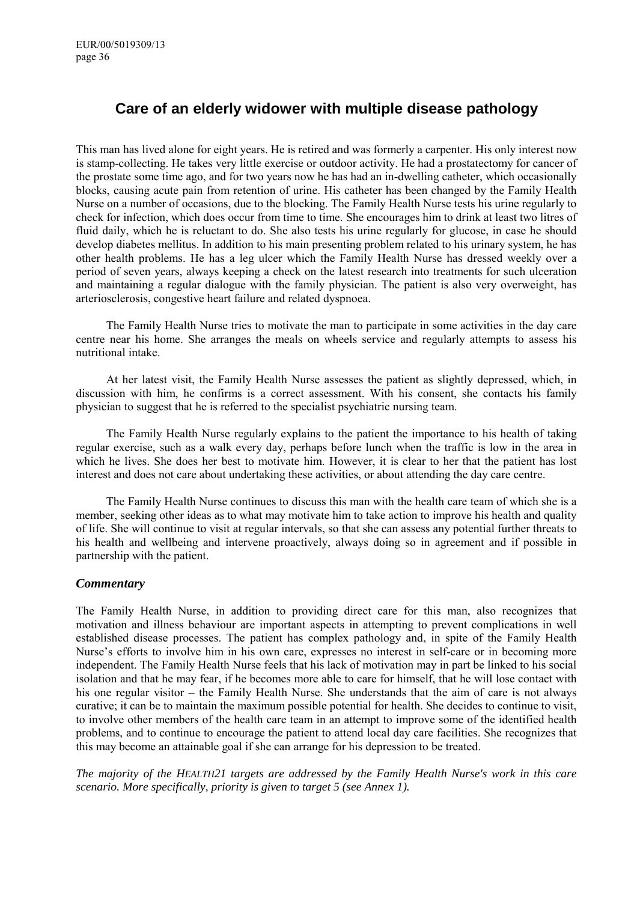# **Care of an elderly widower with multiple disease pathology**

This man has lived alone for eight years. He is retired and was formerly a carpenter. His only interest now is stamp-collecting. He takes very little exercise or outdoor activity. He had a prostatectomy for cancer of the prostate some time ago, and for two years now he has had an in-dwelling catheter, which occasionally blocks, causing acute pain from retention of urine. His catheter has been changed by the Family Health Nurse on a number of occasions, due to the blocking. The Family Health Nurse tests his urine regularly to check for infection, which does occur from time to time. She encourages him to drink at least two litres of fluid daily, which he is reluctant to do. She also tests his urine regularly for glucose, in case he should develop diabetes mellitus. In addition to his main presenting problem related to his urinary system, he has other health problems. He has a leg ulcer which the Family Health Nurse has dressed weekly over a period of seven years, always keeping a check on the latest research into treatments for such ulceration and maintaining a regular dialogue with the family physician. The patient is also very overweight, has arteriosclerosis, congestive heart failure and related dyspnoea.

The Family Health Nurse tries to motivate the man to participate in some activities in the day care centre near his home. She arranges the meals on wheels service and regularly attempts to assess his nutritional intake.

At her latest visit, the Family Health Nurse assesses the patient as slightly depressed, which, in discussion with him, he confirms is a correct assessment. With his consent, she contacts his family physician to suggest that he is referred to the specialist psychiatric nursing team.

The Family Health Nurse regularly explains to the patient the importance to his health of taking regular exercise, such as a walk every day, perhaps before lunch when the traffic is low in the area in which he lives. She does her best to motivate him. However, it is clear to her that the patient has lost interest and does not care about undertaking these activities, or about attending the day care centre.

The Family Health Nurse continues to discuss this man with the health care team of which she is a member, seeking other ideas as to what may motivate him to take action to improve his health and quality of life. She will continue to visit at regular intervals, so that she can assess any potential further threats to his health and wellbeing and intervene proactively, always doing so in agreement and if possible in partnership with the patient.

### *Commentary*

The Family Health Nurse, in addition to providing direct care for this man, also recognizes that motivation and illness behaviour are important aspects in attempting to prevent complications in well established disease processes. The patient has complex pathology and, in spite of the Family Health Nurse's efforts to involve him in his own care, expresses no interest in self-care or in becoming more independent. The Family Health Nurse feels that his lack of motivation may in part be linked to his social isolation and that he may fear, if he becomes more able to care for himself, that he will lose contact with his one regular visitor  $-$  the Family Health Nurse. She understands that the aim of care is not always curative; it can be to maintain the maximum possible potential for health. She decides to continue to visit, to involve other members of the health care team in an attempt to improve some of the identified health problems, and to continue to encourage the patient to attend local day care facilities. She recognizes that this may become an attainable goal if she can arrange for his depression to be treated.

*The majority of the HEALTH21 targets are addressed by the Family Health Nurse's work in this care scenario. More specifically, priority is given to target 5 (see Annex 1).*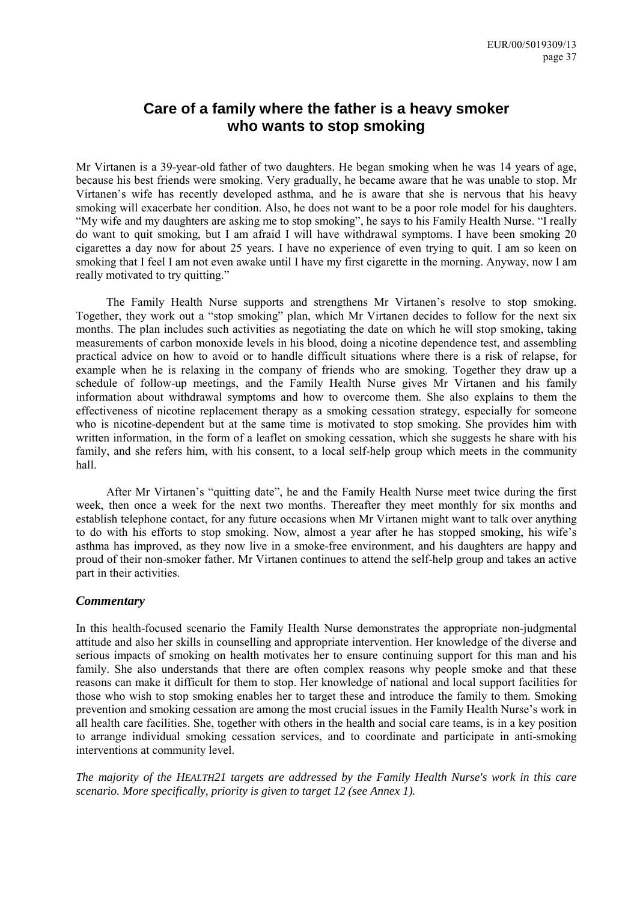# **Care of a family where the father is a heavy smoker who wants to stop smoking**

Mr Virtanen is a 39-year-old father of two daughters. He began smoking when he was 14 years of age, because his best friends were smoking. Very gradually, he became aware that he was unable to stop. Mr Virtanen's wife has recently developed asthma, and he is aware that she is nervous that his heavy smoking will exacerbate her condition. Also, he does not want to be a poor role model for his daughters. "My wife and my daughters are asking me to stop smoking", he says to his Family Health Nurse. "I really do want to quit smoking, but I am afraid I will have withdrawal symptoms. I have been smoking 20 cigarettes a day now for about 25 years. I have no experience of even trying to quit. I am so keen on smoking that I feel I am not even awake until I have my first cigarette in the morning. Anyway, now I am really motivated to try quitting."

The Family Health Nurse supports and strengthens Mr Virtanen's resolve to stop smoking. Together, they work out a "stop smoking" plan, which Mr Virtanen decides to follow for the next six months. The plan includes such activities as negotiating the date on which he will stop smoking, taking measurements of carbon monoxide levels in his blood, doing a nicotine dependence test, and assembling practical advice on how to avoid or to handle difficult situations where there is a risk of relapse, for example when he is relaxing in the company of friends who are smoking. Together they draw up a schedule of follow-up meetings, and the Family Health Nurse gives Mr Virtanen and his family information about withdrawal symptoms and how to overcome them. She also explains to them the effectiveness of nicotine replacement therapy as a smoking cessation strategy, especially for someone who is nicotine-dependent but at the same time is motivated to stop smoking. She provides him with written information, in the form of a leaflet on smoking cessation, which she suggests he share with his family, and she refers him, with his consent, to a local self-help group which meets in the community hall.

After Mr Virtanen's "quitting date", he and the Family Health Nurse meet twice during the first week, then once a week for the next two months. Thereafter they meet monthly for six months and establish telephone contact, for any future occasions when Mr Virtanen might want to talk over anything to do with his efforts to stop smoking. Now, almost a year after he has stopped smoking, his wife's asthma has improved, as they now live in a smoke-free environment, and his daughters are happy and proud of their non-smoker father. Mr Virtanen continues to attend the self-help group and takes an active part in their activities.

#### *Commentary*

In this health-focused scenario the Family Health Nurse demonstrates the appropriate non-judgmental attitude and also her skills in counselling and appropriate intervention. Her knowledge of the diverse and serious impacts of smoking on health motivates her to ensure continuing support for this man and his family. She also understands that there are often complex reasons why people smoke and that these reasons can make it difficult for them to stop. Her knowledge of national and local support facilities for those who wish to stop smoking enables her to target these and introduce the family to them. Smoking prevention and smoking cessation are among the most crucial issues in the Family Health Nurse's work in all health care facilities. She, together with others in the health and social care teams, is in a key position to arrange individual smoking cessation services, and to coordinate and participate in anti-smoking interventions at community level.

*The majority of the HEALTH21 targets are addressed by the Family Health Nurse's work in this care scenario. More specifically, priority is given to target 12 (see Annex 1).*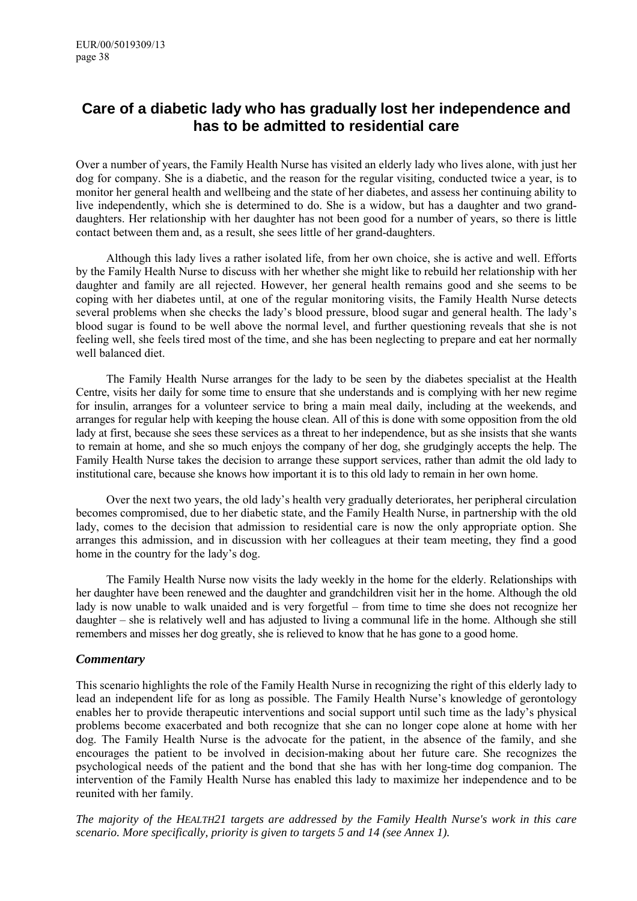# **Care of a diabetic lady who has gradually lost her independence and has to be admitted to residential care**

Over a number of years, the Family Health Nurse has visited an elderly lady who lives alone, with just her dog for company. She is a diabetic, and the reason for the regular visiting, conducted twice a year, is to monitor her general health and wellbeing and the state of her diabetes, and assess her continuing ability to live independently, which she is determined to do. She is a widow, but has a daughter and two granddaughters. Her relationship with her daughter has not been good for a number of years, so there is little contact between them and, as a result, she sees little of her grand-daughters.

Although this lady lives a rather isolated life, from her own choice, she is active and well. Efforts by the Family Health Nurse to discuss with her whether she might like to rebuild her relationship with her daughter and family are all rejected. However, her general health remains good and she seems to be coping with her diabetes until, at one of the regular monitoring visits, the Family Health Nurse detects several problems when she checks the lady's blood pressure, blood sugar and general health. The lady's blood sugar is found to be well above the normal level, and further questioning reveals that she is not feeling well, she feels tired most of the time, and she has been neglecting to prepare and eat her normally well balanced diet.

The Family Health Nurse arranges for the lady to be seen by the diabetes specialist at the Health Centre, visits her daily for some time to ensure that she understands and is complying with her new regime for insulin, arranges for a volunteer service to bring a main meal daily, including at the weekends, and arranges for regular help with keeping the house clean. All of this is done with some opposition from the old lady at first, because she sees these services as a threat to her independence, but as she insists that she wants to remain at home, and she so much enjoys the company of her dog, she grudgingly accepts the help. The Family Health Nurse takes the decision to arrange these support services, rather than admit the old lady to institutional care, because she knows how important it is to this old lady to remain in her own home.

Over the next two years, the old lady's health very gradually deteriorates, her peripheral circulation becomes compromised, due to her diabetic state, and the Family Health Nurse, in partnership with the old lady, comes to the decision that admission to residential care is now the only appropriate option. She arranges this admission, and in discussion with her colleagues at their team meeting, they find a good home in the country for the lady's dog.

The Family Health Nurse now visits the lady weekly in the home for the elderly. Relationships with her daughter have been renewed and the daughter and grandchildren visit her in the home. Although the old lady is now unable to walk unaided and is very forgetful – from time to time she does not recognize her daughter – she is relatively well and has adjusted to living a communal life in the home. Although she still remembers and misses her dog greatly, she is relieved to know that he has gone to a good home.

### *Commentary*

This scenario highlights the role of the Family Health Nurse in recognizing the right of this elderly lady to lead an independent life for as long as possible. The Family Health Nurse's knowledge of gerontology enables her to provide therapeutic interventions and social support until such time as the lady's physical problems become exacerbated and both recognize that she can no longer cope alone at home with her dog. The Family Health Nurse is the advocate for the patient, in the absence of the family, and she encourages the patient to be involved in decision-making about her future care. She recognizes the psychological needs of the patient and the bond that she has with her long-time dog companion. The intervention of the Family Health Nurse has enabled this lady to maximize her independence and to be reunited with her family.

*The majority of the HEALTH21 targets are addressed by the Family Health Nurse's work in this care scenario. More specifically, priority is given to targets 5 and 14 (see Annex 1).*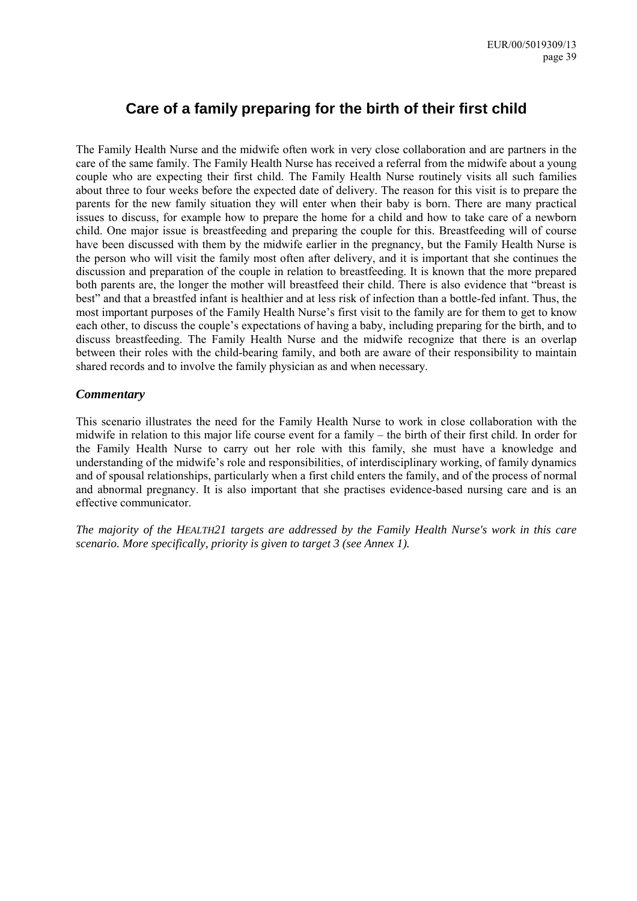# **Care of a family preparing for the birth of their first child**

The Family Health Nurse and the midwife often work in very close collaboration and are partners in the care of the same family. The Family Health Nurse has received a referral from the midwife about a young couple who are expecting their first child. The Family Health Nurse routinely visits all such families about three to four weeks before the expected date of delivery. The reason for this visit is to prepare the parents for the new family situation they will enter when their baby is born. There are many practical issues to discuss, for example how to prepare the home for a child and how to take care of a newborn child. One major issue is breastfeeding and preparing the couple for this. Breastfeeding will of course have been discussed with them by the midwife earlier in the pregnancy, but the Family Health Nurse is the person who will visit the family most often after delivery, and it is important that she continues the discussion and preparation of the couple in relation to breastfeeding. It is known that the more prepared both parents are, the longer the mother will breastfeed their child. There is also evidence that "breast is best" and that a breastfed infant is healthier and at less risk of infection than a bottle-fed infant. Thus, the most important purposes of the Family Health Nurse's first visit to the family are for them to get to know each other, to discuss the couple's expectations of having a baby, including preparing for the birth, and to discuss breastfeeding. The Family Health Nurse and the midwife recognize that there is an overlap between their roles with the child-bearing family, and both are aware of their responsibility to maintain shared records and to involve the family physician as and when necessary.

### *Commentary*

This scenario illustrates the need for the Family Health Nurse to work in close collaboration with the midwife in relation to this major life course event for a family  $-$  the birth of their first child. In order for the Family Health Nurse to carry out her role with this family, she must have a knowledge and understanding of the midwife's role and responsibilities, of interdisciplinary working, of family dynamics and of spousal relationships, particularly when a first child enters the family, and of the process of normal and abnormal pregnancy. It is also important that she practises evidence-based nursing care and is an effective communicator.

*The majority of the HEALTH21 targets are addressed by the Family Health Nurse's work in this care scenario. More specifically, priority is given to target 3 (see Annex 1).*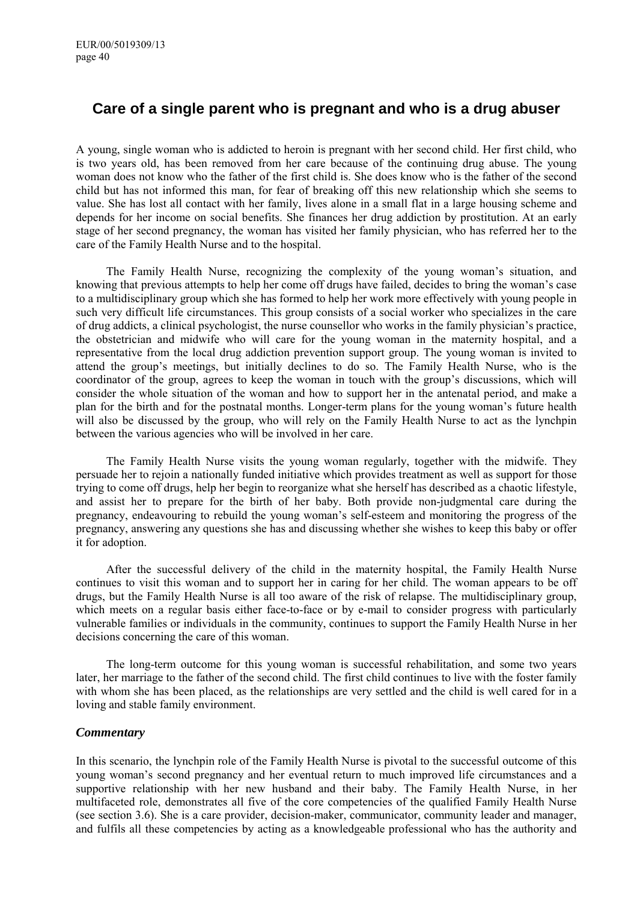# **Care of a single parent who is pregnant and who is a drug abuser**

A young, single woman who is addicted to heroin is pregnant with her second child. Her first child, who is two years old, has been removed from her care because of the continuing drug abuse. The young woman does not know who the father of the first child is. She does know who is the father of the second child but has not informed this man, for fear of breaking off this new relationship which she seems to value. She has lost all contact with her family, lives alone in a small flat in a large housing scheme and depends for her income on social benefits. She finances her drug addiction by prostitution. At an early stage of her second pregnancy, the woman has visited her family physician, who has referred her to the care of the Family Health Nurse and to the hospital.

The Family Health Nurse, recognizing the complexity of the young woman's situation, and knowing that previous attempts to help her come off drugs have failed, decides to bring the woman's case to a multidisciplinary group which she has formed to help her work more effectively with young people in such very difficult life circumstances. This group consists of a social worker who specializes in the care of drug addicts, a clinical psychologist, the nurse counsellor who works in the family physicianís practice, the obstetrician and midwife who will care for the young woman in the maternity hospital, and a representative from the local drug addiction prevention support group. The young woman is invited to attend the group's meetings, but initially declines to do so. The Family Health Nurse, who is the coordinator of the group, agrees to keep the woman in touch with the group's discussions, which will consider the whole situation of the woman and how to support her in the antenatal period, and make a plan for the birth and for the postnatal months. Longer-term plans for the young womanís future health will also be discussed by the group, who will rely on the Family Health Nurse to act as the lynchpin between the various agencies who will be involved in her care.

The Family Health Nurse visits the young woman regularly, together with the midwife. They persuade her to rejoin a nationally funded initiative which provides treatment as well as support for those trying to come off drugs, help her begin to reorganize what she herself has described as a chaotic lifestyle, and assist her to prepare for the birth of her baby. Both provide non-judgmental care during the pregnancy, endeavouring to rebuild the young woman's self-esteem and monitoring the progress of the pregnancy, answering any questions she has and discussing whether she wishes to keep this baby or offer it for adoption.

After the successful delivery of the child in the maternity hospital, the Family Health Nurse continues to visit this woman and to support her in caring for her child. The woman appears to be off drugs, but the Family Health Nurse is all too aware of the risk of relapse. The multidisciplinary group, which meets on a regular basis either face-to-face or by e-mail to consider progress with particularly vulnerable families or individuals in the community, continues to support the Family Health Nurse in her decisions concerning the care of this woman.

The long-term outcome for this young woman is successful rehabilitation, and some two years later, her marriage to the father of the second child. The first child continues to live with the foster family with whom she has been placed, as the relationships are very settled and the child is well cared for in a loving and stable family environment.

### *Commentary*

In this scenario, the lynchpin role of the Family Health Nurse is pivotal to the successful outcome of this young womanís second pregnancy and her eventual return to much improved life circumstances and a supportive relationship with her new husband and their baby. The Family Health Nurse, in her multifaceted role, demonstrates all five of the core competencies of the qualified Family Health Nurse (see section 3.6). She is a care provider, decision-maker, communicator, community leader and manager, and fulfils all these competencies by acting as a knowledgeable professional who has the authority and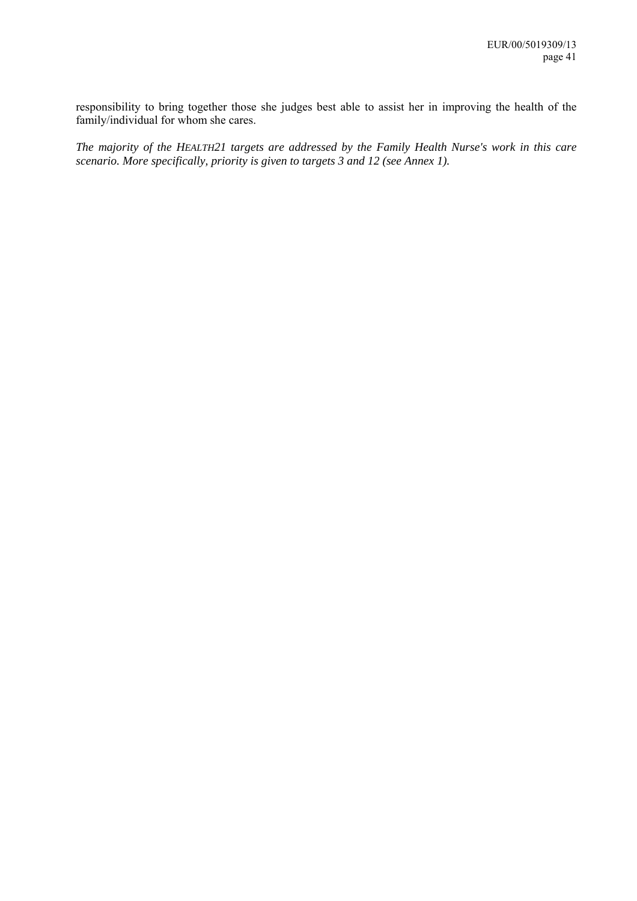responsibility to bring together those she judges best able to assist her in improving the health of the family/individual for whom she cares.

*The majority of the HEALTH21 targets are addressed by the Family Health Nurse's work in this care scenario. More specifically, priority is given to targets 3 and 12 (see Annex 1).*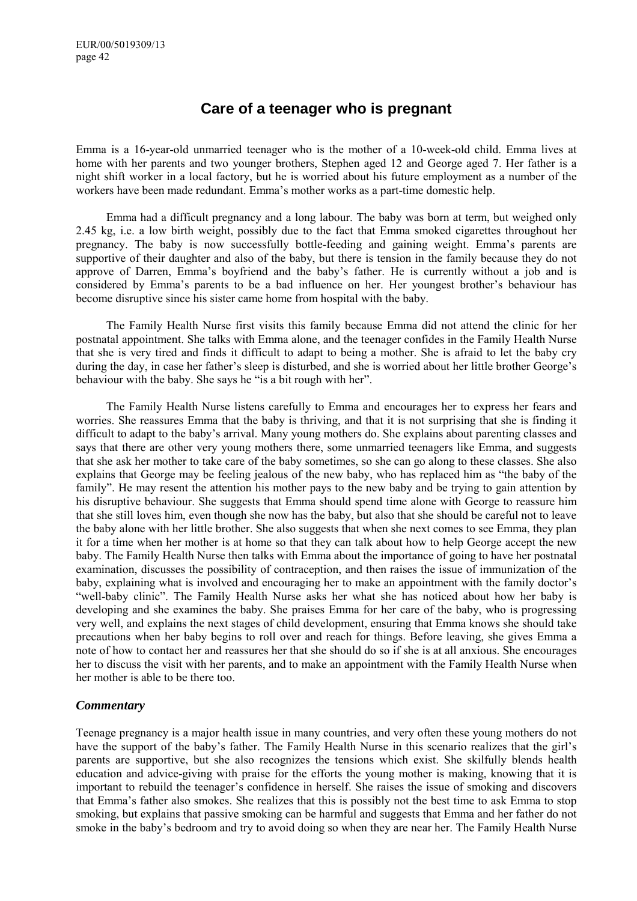# **Care of a teenager who is pregnant**

Emma is a 16-year-old unmarried teenager who is the mother of a 10-week-old child. Emma lives at home with her parents and two younger brothers, Stephen aged 12 and George aged 7. Her father is a night shift worker in a local factory, but he is worried about his future employment as a number of the workers have been made redundant. Emma's mother works as a part-time domestic help.

Emma had a difficult pregnancy and a long labour. The baby was born at term, but weighed only 2.45 kg, i.e. a low birth weight, possibly due to the fact that Emma smoked cigarettes throughout her pregnancy. The baby is now successfully bottle-feeding and gaining weight. Emmaís parents are supportive of their daughter and also of the baby, but there is tension in the family because they do not approve of Darren, Emma's boyfriend and the baby's father. He is currently without a job and is considered by Emma's parents to be a bad influence on her. Her youngest brother's behaviour has become disruptive since his sister came home from hospital with the baby.

The Family Health Nurse first visits this family because Emma did not attend the clinic for her postnatal appointment. She talks with Emma alone, and the teenager confides in the Family Health Nurse that she is very tired and finds it difficult to adapt to being a mother. She is afraid to let the baby cry during the day, in case her father's sleep is disturbed, and she is worried about her little brother George's behaviour with the baby. She says he "is a bit rough with her".

The Family Health Nurse listens carefully to Emma and encourages her to express her fears and worries. She reassures Emma that the baby is thriving, and that it is not surprising that she is finding it difficult to adapt to the baby's arrival. Many young mothers do. She explains about parenting classes and says that there are other very young mothers there, some unmarried teenagers like Emma, and suggests that she ask her mother to take care of the baby sometimes, so she can go along to these classes. She also explains that George may be feeling jealous of the new baby, who has replaced him as "the baby of the family". He may resent the attention his mother pays to the new baby and be trying to gain attention by his disruptive behaviour. She suggests that Emma should spend time alone with George to reassure him that she still loves him, even though she now has the baby, but also that she should be careful not to leave the baby alone with her little brother. She also suggests that when she next comes to see Emma, they plan it for a time when her mother is at home so that they can talk about how to help George accept the new baby. The Family Health Nurse then talks with Emma about the importance of going to have her postnatal examination, discusses the possibility of contraception, and then raises the issue of immunization of the baby, explaining what is involved and encouraging her to make an appointment with the family doctor's "well-baby clinic". The Family Health Nurse asks her what she has noticed about how her baby is developing and she examines the baby. She praises Emma for her care of the baby, who is progressing very well, and explains the next stages of child development, ensuring that Emma knows she should take precautions when her baby begins to roll over and reach for things. Before leaving, she gives Emma a note of how to contact her and reassures her that she should do so if she is at all anxious. She encourages her to discuss the visit with her parents, and to make an appointment with the Family Health Nurse when her mother is able to be there too.

### *Commentary*

Teenage pregnancy is a major health issue in many countries, and very often these young mothers do not have the support of the baby's father. The Family Health Nurse in this scenario realizes that the girl's parents are supportive, but she also recognizes the tensions which exist. She skilfully blends health education and advice-giving with praise for the efforts the young mother is making, knowing that it is important to rebuild the teenager's confidence in herself. She raises the issue of smoking and discovers that Emmaís father also smokes. She realizes that this is possibly not the best time to ask Emma to stop smoking, but explains that passive smoking can be harmful and suggests that Emma and her father do not smoke in the baby's bedroom and try to avoid doing so when they are near her. The Family Health Nurse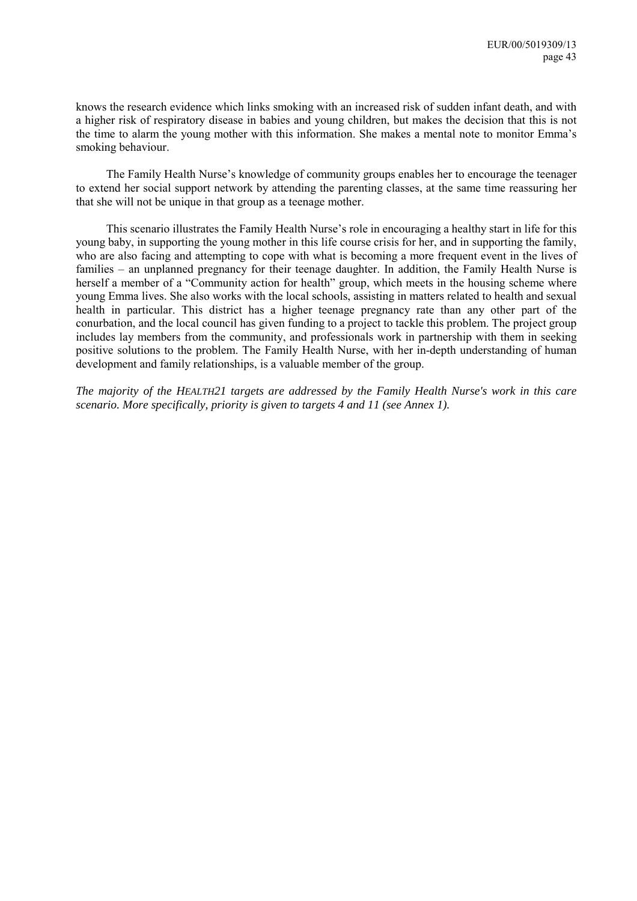knows the research evidence which links smoking with an increased risk of sudden infant death, and with a higher risk of respiratory disease in babies and young children, but makes the decision that this is not the time to alarm the young mother with this information. She makes a mental note to monitor Emma's smoking behaviour.

The Family Health Nurse's knowledge of community groups enables her to encourage the teenager to extend her social support network by attending the parenting classes, at the same time reassuring her that she will not be unique in that group as a teenage mother.

This scenario illustrates the Family Health Nurse's role in encouraging a healthy start in life for this young baby, in supporting the young mother in this life course crisis for her, and in supporting the family, who are also facing and attempting to cope with what is becoming a more frequent event in the lives of families – an unplanned pregnancy for their teenage daughter. In addition, the Family Health Nurse is herself a member of a "Community action for health" group, which meets in the housing scheme where young Emma lives. She also works with the local schools, assisting in matters related to health and sexual health in particular. This district has a higher teenage pregnancy rate than any other part of the conurbation, and the local council has given funding to a project to tackle this problem. The project group includes lay members from the community, and professionals work in partnership with them in seeking positive solutions to the problem. The Family Health Nurse, with her in-depth understanding of human development and family relationships, is a valuable member of the group.

*The majority of the HEALTH21 targets are addressed by the Family Health Nurse's work in this care scenario. More specifically, priority is given to targets 4 and 11 (see Annex 1).*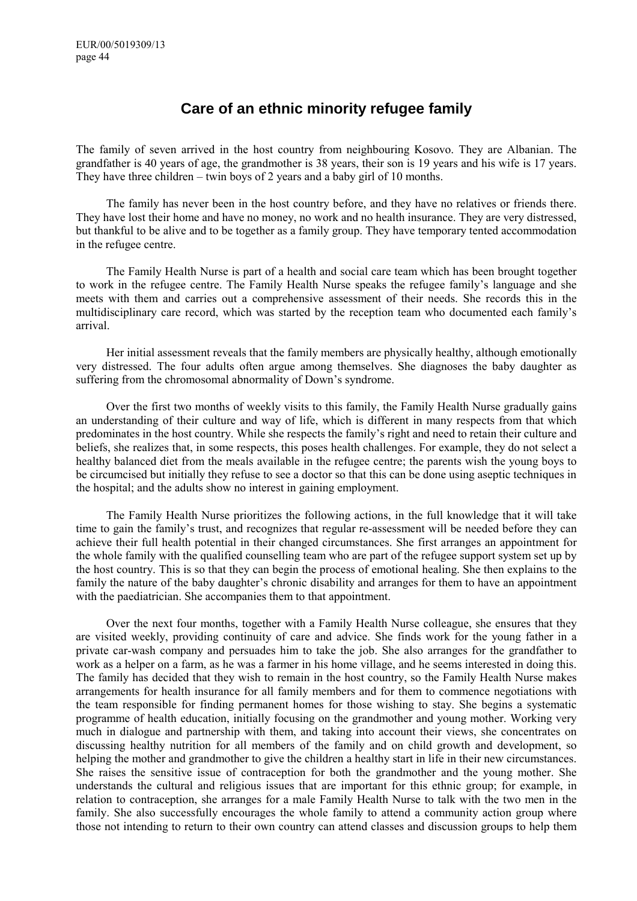# **Care of an ethnic minority refugee family**

The family of seven arrived in the host country from neighbouring Kosovo. They are Albanian. The grandfather is 40 years of age, the grandmother is 38 years, their son is 19 years and his wife is 17 years. They have three children  $-$  twin boys of 2 years and a baby girl of 10 months.

The family has never been in the host country before, and they have no relatives or friends there. They have lost their home and have no money, no work and no health insurance. They are very distressed, but thankful to be alive and to be together as a family group. They have temporary tented accommodation in the refugee centre.

The Family Health Nurse is part of a health and social care team which has been brought together to work in the refugee centre. The Family Health Nurse speaks the refugee familyís language and she meets with them and carries out a comprehensive assessment of their needs. She records this in the multidisciplinary care record, which was started by the reception team who documented each familyís arrival.

Her initial assessment reveals that the family members are physically healthy, although emotionally very distressed. The four adults often argue among themselves. She diagnoses the baby daughter as suffering from the chromosomal abnormality of Down's syndrome.

Over the first two months of weekly visits to this family, the Family Health Nurse gradually gains an understanding of their culture and way of life, which is different in many respects from that which predominates in the host country. While she respects the family's right and need to retain their culture and beliefs, she realizes that, in some respects, this poses health challenges. For example, they do not select a healthy balanced diet from the meals available in the refugee centre; the parents wish the young boys to be circumcised but initially they refuse to see a doctor so that this can be done using aseptic techniques in the hospital; and the adults show no interest in gaining employment.

The Family Health Nurse prioritizes the following actions, in the full knowledge that it will take time to gain the family's trust, and recognizes that regular re-assessment will be needed before they can achieve their full health potential in their changed circumstances. She first arranges an appointment for the whole family with the qualified counselling team who are part of the refugee support system set up by the host country. This is so that they can begin the process of emotional healing. She then explains to the family the nature of the baby daughter's chronic disability and arranges for them to have an appointment with the paediatrician. She accompanies them to that appointment.

Over the next four months, together with a Family Health Nurse colleague, she ensures that they are visited weekly, providing continuity of care and advice. She finds work for the young father in a private car-wash company and persuades him to take the job. She also arranges for the grandfather to work as a helper on a farm, as he was a farmer in his home village, and he seems interested in doing this. The family has decided that they wish to remain in the host country, so the Family Health Nurse makes arrangements for health insurance for all family members and for them to commence negotiations with the team responsible for finding permanent homes for those wishing to stay. She begins a systematic programme of health education, initially focusing on the grandmother and young mother. Working very much in dialogue and partnership with them, and taking into account their views, she concentrates on discussing healthy nutrition for all members of the family and on child growth and development, so helping the mother and grandmother to give the children a healthy start in life in their new circumstances. She raises the sensitive issue of contraception for both the grandmother and the young mother. She understands the cultural and religious issues that are important for this ethnic group; for example, in relation to contraception, she arranges for a male Family Health Nurse to talk with the two men in the family. She also successfully encourages the whole family to attend a community action group where those not intending to return to their own country can attend classes and discussion groups to help them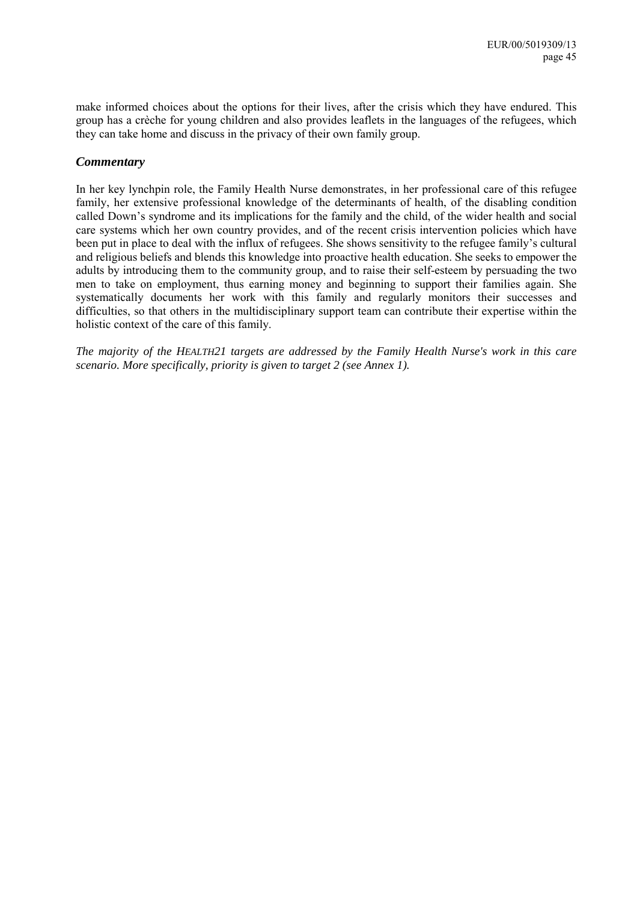make informed choices about the options for their lives, after the crisis which they have endured. This group has a crèche for young children and also provides leaflets in the languages of the refugees, which they can take home and discuss in the privacy of their own family group.

### *Commentary*

In her key lynchpin role, the Family Health Nurse demonstrates, in her professional care of this refugee family, her extensive professional knowledge of the determinants of health, of the disabling condition called Down's syndrome and its implications for the family and the child, of the wider health and social care systems which her own country provides, and of the recent crisis intervention policies which have been put in place to deal with the influx of refugees. She shows sensitivity to the refugee family's cultural and religious beliefs and blends this knowledge into proactive health education. She seeks to empower the adults by introducing them to the community group, and to raise their self-esteem by persuading the two men to take on employment, thus earning money and beginning to support their families again. She systematically documents her work with this family and regularly monitors their successes and difficulties, so that others in the multidisciplinary support team can contribute their expertise within the holistic context of the care of this family.

*The majority of the HEALTH21 targets are addressed by the Family Health Nurse's work in this care scenario. More specifically, priority is given to target 2 (see Annex 1).*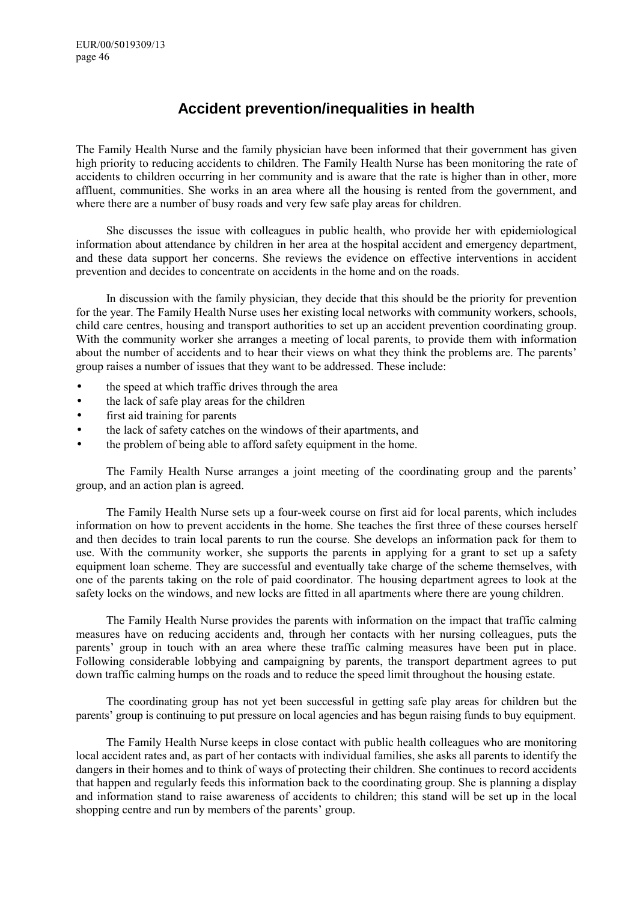# **Accident prevention/inequalities in health**

The Family Health Nurse and the family physician have been informed that their government has given high priority to reducing accidents to children. The Family Health Nurse has been monitoring the rate of accidents to children occurring in her community and is aware that the rate is higher than in other, more affluent, communities. She works in an area where all the housing is rented from the government, and where there are a number of busy roads and very few safe play areas for children.

She discusses the issue with colleagues in public health, who provide her with epidemiological information about attendance by children in her area at the hospital accident and emergency department, and these data support her concerns. She reviews the evidence on effective interventions in accident prevention and decides to concentrate on accidents in the home and on the roads.

In discussion with the family physician, they decide that this should be the priority for prevention for the year. The Family Health Nurse uses her existing local networks with community workers, schools, child care centres, housing and transport authorities to set up an accident prevention coordinating group. With the community worker she arranges a meeting of local parents, to provide them with information about the number of accidents and to hear their views on what they think the problems are. The parentsí group raises a number of issues that they want to be addressed. These include:

- the speed at which traffic drives through the area
- the lack of safe play areas for the children
- first aid training for parents
- the lack of safety catches on the windows of their apartments, and
- the problem of being able to afford safety equipment in the home.

The Family Health Nurse arranges a joint meeting of the coordinating group and the parents' group, and an action plan is agreed.

The Family Health Nurse sets up a four-week course on first aid for local parents, which includes information on how to prevent accidents in the home. She teaches the first three of these courses herself and then decides to train local parents to run the course. She develops an information pack for them to use. With the community worker, she supports the parents in applying for a grant to set up a safety equipment loan scheme. They are successful and eventually take charge of the scheme themselves, with one of the parents taking on the role of paid coordinator. The housing department agrees to look at the safety locks on the windows, and new locks are fitted in all apartments where there are young children.

The Family Health Nurse provides the parents with information on the impact that traffic calming measures have on reducing accidents and, through her contacts with her nursing colleagues, puts the parents' group in touch with an area where these traffic calming measures have been put in place. Following considerable lobbying and campaigning by parents, the transport department agrees to put down traffic calming humps on the roads and to reduce the speed limit throughout the housing estate.

The coordinating group has not yet been successful in getting safe play areas for children but the parentsí group is continuing to put pressure on local agencies and has begun raising funds to buy equipment.

The Family Health Nurse keeps in close contact with public health colleagues who are monitoring local accident rates and, as part of her contacts with individual families, she asks all parents to identify the dangers in their homes and to think of ways of protecting their children. She continues to record accidents that happen and regularly feeds this information back to the coordinating group. She is planning a display and information stand to raise awareness of accidents to children; this stand will be set up in the local shopping centre and run by members of the parents' group.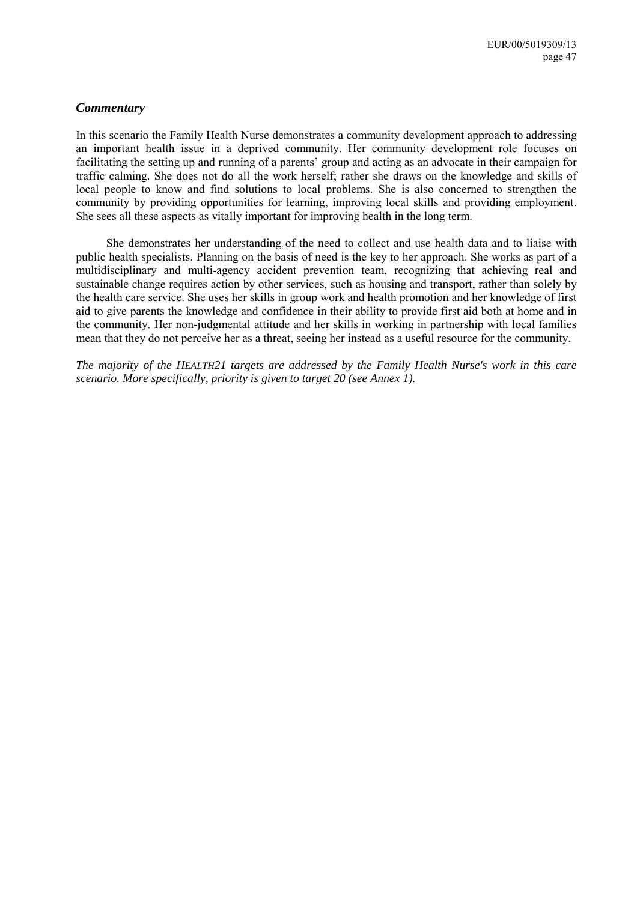### *Commentary*

In this scenario the Family Health Nurse demonstrates a community development approach to addressing an important health issue in a deprived community. Her community development role focuses on facilitating the setting up and running of a parents' group and acting as an advocate in their campaign for traffic calming. She does not do all the work herself; rather she draws on the knowledge and skills of local people to know and find solutions to local problems. She is also concerned to strengthen the community by providing opportunities for learning, improving local skills and providing employment. She sees all these aspects as vitally important for improving health in the long term.

She demonstrates her understanding of the need to collect and use health data and to liaise with public health specialists. Planning on the basis of need is the key to her approach. She works as part of a multidisciplinary and multi-agency accident prevention team, recognizing that achieving real and sustainable change requires action by other services, such as housing and transport, rather than solely by the health care service. She uses her skills in group work and health promotion and her knowledge of first aid to give parents the knowledge and confidence in their ability to provide first aid both at home and in the community. Her non-judgmental attitude and her skills in working in partnership with local families mean that they do not perceive her as a threat, seeing her instead as a useful resource for the community.

*The majority of the HEALTH21 targets are addressed by the Family Health Nurse's work in this care scenario. More specifically, priority is given to target 20 (see Annex 1).*